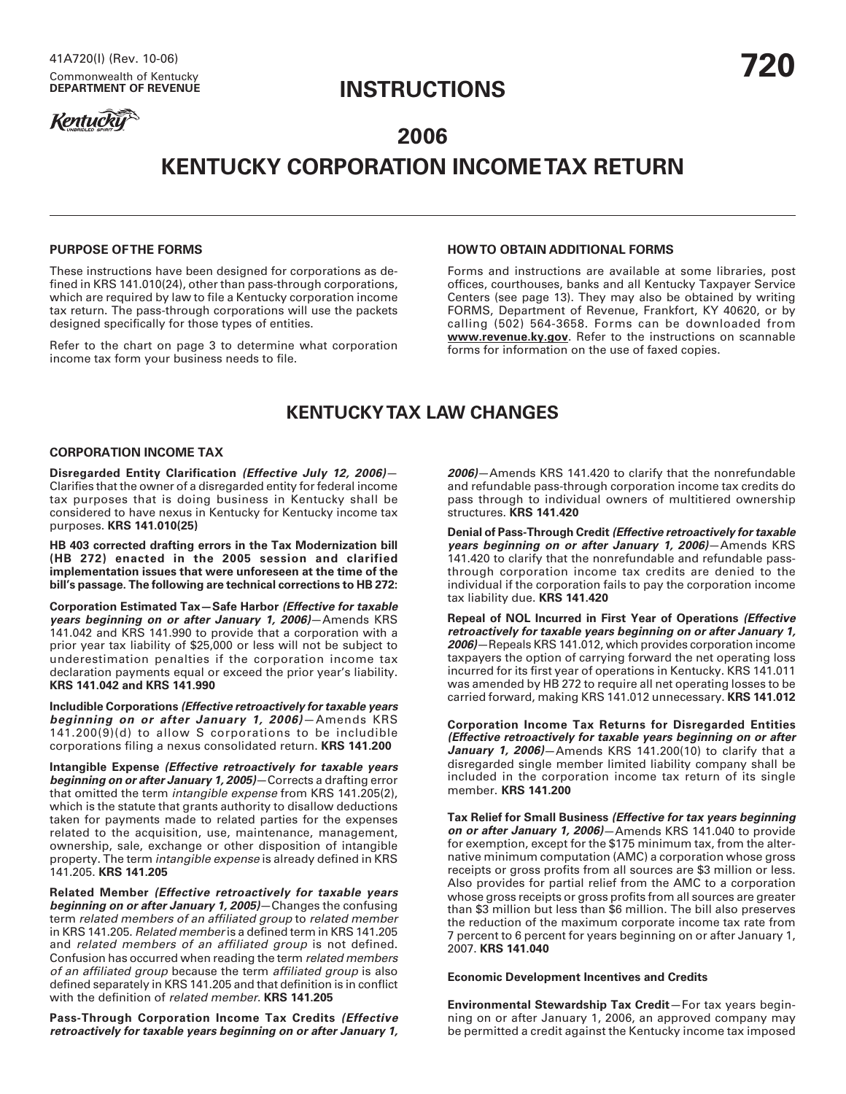## **INSTRUCTIONS**

# **Kentucky**

# **2006 KENTUCKY CORPORATION INCOME TAX RETURN**

## **PURPOSE OF THE FORMS**

These instructions have been designed for corporations as defined in KRS 141.010(24), other than pass-through corporations, which are required by law to file a Kentucky corporation income tax return. The pass-through corporations will use the packets designed specifically for those types of entities.

Refer to the chart on page 3 to determine what corporation income tax form your business needs to file.

## **HOW TO OBTAIN ADDITIONAL FORMS**

Forms and instructions are available at some libraries, post offices, courthouses, banks and all Kentucky Taxpayer Service Centers (see page 13). They may also be obtained by writing FORMS, Department of Revenue, Frankfort, KY 40620, or by calling (502) 564-3658. Forms can be downloaded from **www.revenue.ky.gov**. Refer to the instructions on scannable forms for information on the use of faxed copies.

## **KENTUCKY TAX LAW CHANGES**

#### **CORPORATION INCOME TAX**

**Disregarded Entity Clarification (Effective July 12, 2006)**— Clarifies that the owner of a disregarded entity for federal income tax purposes that is doing business in Kentucky shall be considered to have nexus in Kentucky for Kentucky income tax purposes. **KRS 141.010(25)**

**HB 403 corrected drafting errors in the Tax Modernization bill (HB 272) enacted in the 2005 session and clarified implementation issues that were unforeseen at the time of the bill's passage. The following are technical corrections to HB 272:**

**Corporation Estimated Tax—Safe Harbor (Effective for taxable years beginning on or after January 1, 2006)**—Amends KRS 141.042 and KRS 141.990 to provide that a corporation with a prior year tax liability of \$25,000 or less will not be subject to underestimation penalties if the corporation income tax declaration payments equal or exceed the prior year's liability. **KRS 141.042 and KRS 141.990**

**Includible Corporations (Effective retroactively for taxable years beginning on or after January 1, 2006)**—Amends KRS 141.200(9)(d) to allow S corporations to be includible corporations filing a nexus consolidated return. **KRS 141.200**

**Intangible Expense (Effective retroactively for taxable years beginning on or after January 1, 2005)**—Corrects a drafting error that omitted the term intangible expense from KRS 141.205(2), which is the statute that grants authority to disallow deductions taken for payments made to related parties for the expenses related to the acquisition, use, maintenance, management, ownership, sale, exchange or other disposition of intangible property. The term intangible expense is already defined in KRS 141.205. **KRS 141.205**

**Related Member (Effective retroactively for taxable years beginning on or after January 1, 2005)**—Changes the confusing term related members of an affiliated group to related member in KRS 141.205. Related member is a defined term in KRS 141.205 and related members of an affiliated group is not defined. Confusion has occurred when reading the term related members of an affiliated group because the term affiliated group is also defined separately in KRS 141.205 and that definition is in conflict with the definition of related member. **KRS 141.205**

**Pass-Through Corporation Income Tax Credits (Effective retroactively for taxable years beginning on or after January 1,**

**2006)**—Amends KRS 141.420 to clarify that the nonrefundable and refundable pass-through corporation income tax credits do pass through to individual owners of multitiered ownership structures. **KRS 141.420**

**Denial of Pass-Through Credit (Effective retroactively for taxable years beginning on or after January 1, 2006)**—Amends KRS 141.420 to clarify that the nonrefundable and refundable passthrough corporation income tax credits are denied to the individual if the corporation fails to pay the corporation income tax liability due. **KRS 141.420**

**Repeal of NOL Incurred in First Year of Operations (Effective retroactively for taxable years beginning on or after January 1, 2006)**—Repeals KRS 141.012, which provides corporation income taxpayers the option of carrying forward the net operating loss incurred for its first year of operations in Kentucky. KRS 141.011 was amended by HB 272 to require all net operating losses to be carried forward, making KRS 141.012 unnecessary. **KRS 141.012**

**Corporation Income Tax Returns for Disregarded Entities (Effective retroactively for taxable years beginning on or after January 1, 2006)**—Amends KRS 141.200(10) to clarify that a disregarded single member limited liability company shall be included in the corporation income tax return of its single member. **KRS 141.200**

**Tax Relief for Small Business (Effective for tax years beginning on or after January 1, 2006)**—Amends KRS 141.040 to provide for exemption, except for the \$175 minimum tax, from the alternative minimum computation (AMC) a corporation whose gross receipts or gross profits from all sources are \$3 million or less. Also provides for partial relief from the AMC to a corporation whose gross receipts or gross profits from all sources are greater than \$3 million but less than \$6 million. The bill also preserves the reduction of the maximum corporate income tax rate from 7 percent to 6 percent for years beginning on or after January 1, 2007. **KRS 141.040**

#### **Economic Development Incentives and Credits**

**Environmental Stewardship Tax Credit**—For tax years beginning on or after January 1, 2006, an approved company may be permitted a credit against the Kentucky income tax imposed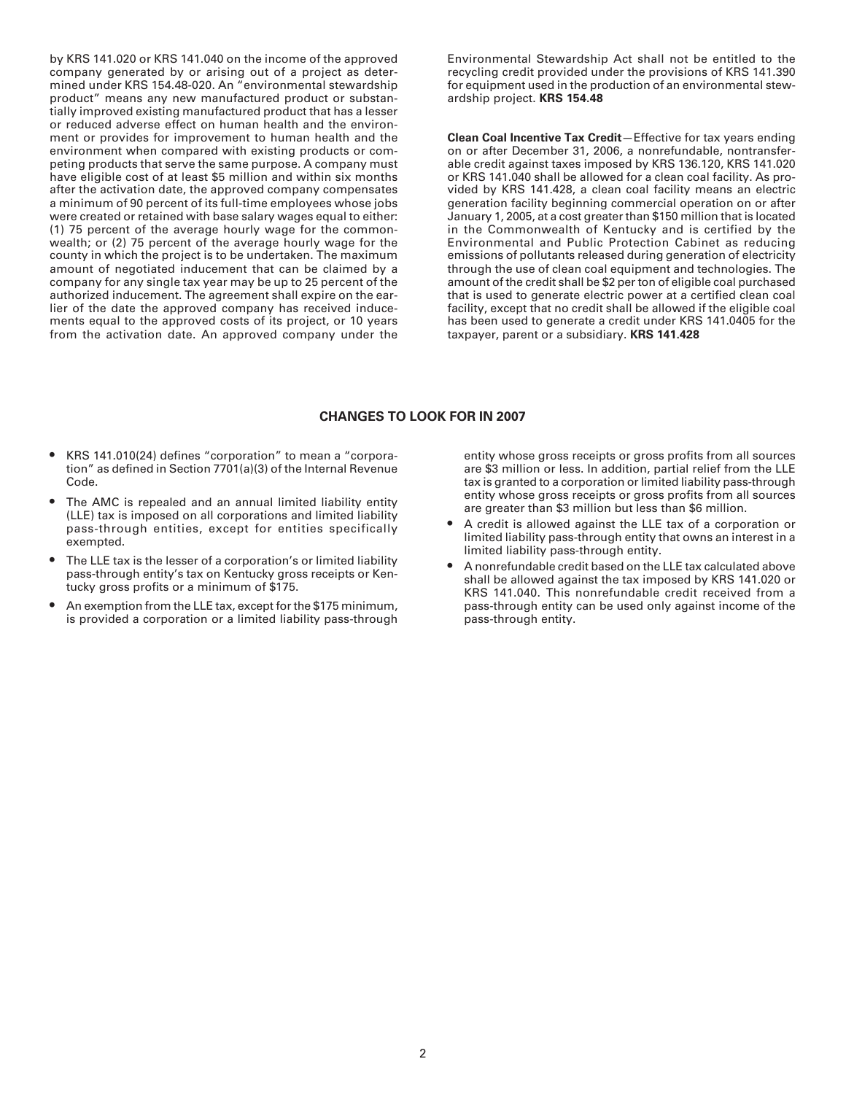by KRS 141.020 or KRS 141.040 on the income of the approved company generated by or arising out of a project as determined under KRS 154.48-020. An "environmental stewardship product" means any new manufactured product or substantially improved existing manufactured product that has a lesser or reduced adverse effect on human health and the environment or provides for improvement to human health and the environment when compared with existing products or competing products that serve the same purpose. A company must have eligible cost of at least \$5 million and within six months after the activation date, the approved company compensates a minimum of 90 percent of its full-time employees whose jobs were created or retained with base salary wages equal to either: (1) 75 percent of the average hourly wage for the commonwealth; or (2) 75 percent of the average hourly wage for the county in which the project is to be undertaken. The maximum amount of negotiated inducement that can be claimed by a company for any single tax year may be up to 25 percent of the authorized inducement. The agreement shall expire on the earlier of the date the approved company has received inducements equal to the approved costs of its project, or 10 years from the activation date. An approved company under the

Environmental Stewardship Act shall not be entitled to the recycling credit provided under the provisions of KRS 141.390 for equipment used in the production of an environmental stewardship project. **KRS 154.48**

**Clean Coal Incentive Tax Credit**—Effective for tax years ending on or after December 31, 2006, a nonrefundable, nontransferable credit against taxes imposed by KRS 136.120, KRS 141.020 or KRS 141.040 shall be allowed for a clean coal facility. As provided by KRS 141.428, a clean coal facility means an electric generation facility beginning commercial operation on or after January 1, 2005, at a cost greater than \$150 million that is located in the Commonwealth of Kentucky and is certified by the Environmental and Public Protection Cabinet as reducing emissions of pollutants released during generation of electricity through the use of clean coal equipment and technologies. The amount of the credit shall be \$2 per ton of eligible coal purchased that is used to generate electric power at a certified clean coal facility, except that no credit shall be allowed if the eligible coal has been used to generate a credit under KRS 141.0405 for the taxpayer, parent or a subsidiary. **KRS 141.428**

## **CHANGES TO LOOK FOR IN 2007**

- KRS 141.010(24) defines "corporation" to mean a "corporation" as defined in Section 7701(a)(3) of the Internal Revenue Code.
- The AMC is repealed and an annual limited liability entity (LLE) tax is imposed on all corporations and limited liability pass-through entities, except for entities specifically exempted.
- The LLE tax is the lesser of a corporation's or limited liability pass-through entity's tax on Kentucky gross receipts or Kentucky gross profits or a minimum of \$175.
- An exemption from the LLE tax, except for the \$175 minimum, is provided a corporation or a limited liability pass-through

entity whose gross receipts or gross profits from all sources are \$3 million or less. In addition, partial relief from the LLE tax is granted to a corporation or limited liability pass-through entity whose gross receipts or gross profits from all sources are greater than \$3 million but less than \$6 million.

- A credit is allowed against the LLE tax of a corporation or limited liability pass-through entity that owns an interest in a limited liability pass-through entity.
- A nonrefundable credit based on the LLE tax calculated above shall be allowed against the tax imposed by KRS 141.020 or KRS 141.040. This nonrefundable credit received from a pass-through entity can be used only against income of the pass-through entity.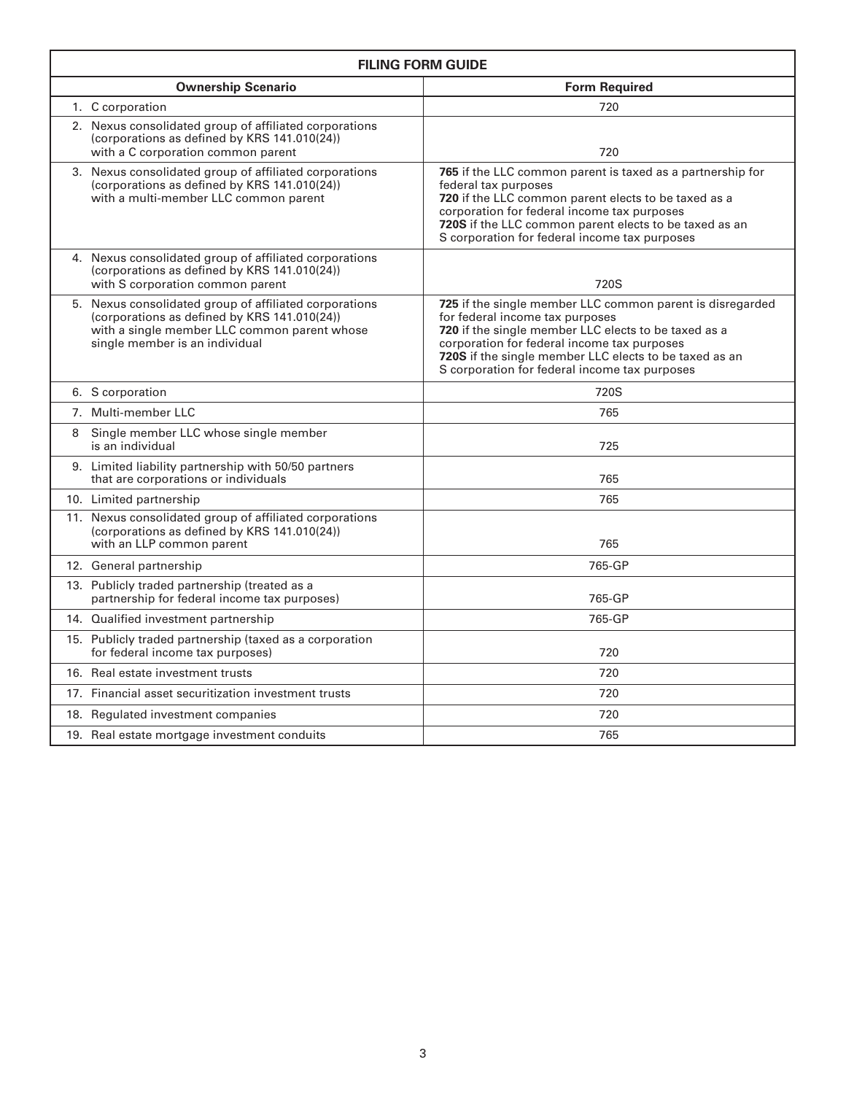| <b>FILING FORM GUIDE</b> |                                                                                                                                                                                          |                                                                                                                                                                                                                                                                                                                |
|--------------------------|------------------------------------------------------------------------------------------------------------------------------------------------------------------------------------------|----------------------------------------------------------------------------------------------------------------------------------------------------------------------------------------------------------------------------------------------------------------------------------------------------------------|
|                          | <b>Ownership Scenario</b>                                                                                                                                                                | <b>Form Required</b>                                                                                                                                                                                                                                                                                           |
|                          | 1. C corporation                                                                                                                                                                         | 720                                                                                                                                                                                                                                                                                                            |
|                          | 2. Nexus consolidated group of affiliated corporations<br>(corporations as defined by KRS 141.010(24))<br>with a C corporation common parent                                             | 720                                                                                                                                                                                                                                                                                                            |
|                          | 3. Nexus consolidated group of affiliated corporations<br>(corporations as defined by KRS 141.010(24))<br>with a multi-member LLC common parent                                          | <b>765</b> if the LLC common parent is taxed as a partnership for<br>federal tax purposes<br>720 if the LLC common parent elects to be taxed as a<br>corporation for federal income tax purposes<br>720S if the LLC common parent elects to be taxed as an<br>S corporation for federal income tax purposes    |
|                          | 4. Nexus consolidated group of affiliated corporations<br>(corporations as defined by KRS 141.010(24))<br>with S corporation common parent                                               | 720S                                                                                                                                                                                                                                                                                                           |
|                          | 5. Nexus consolidated group of affiliated corporations<br>(corporations as defined by KRS 141.010(24))<br>with a single member LLC common parent whose<br>single member is an individual | 725 if the single member LLC common parent is disregarded<br>for federal income tax purposes<br>720 if the single member LLC elects to be taxed as a<br>corporation for federal income tax purposes<br>720S if the single member LLC elects to be taxed as an<br>S corporation for federal income tax purposes |
|                          | 6. S corporation                                                                                                                                                                         | 720S                                                                                                                                                                                                                                                                                                           |
|                          | 7. Multi-member LLC                                                                                                                                                                      | 765                                                                                                                                                                                                                                                                                                            |
| 8                        | Single member LLC whose single member<br>is an individual                                                                                                                                | 725                                                                                                                                                                                                                                                                                                            |
|                          | 9. Limited liability partnership with 50/50 partners<br>that are corporations or individuals                                                                                             | 765                                                                                                                                                                                                                                                                                                            |
|                          | 10. Limited partnership                                                                                                                                                                  | 765                                                                                                                                                                                                                                                                                                            |
|                          | 11. Nexus consolidated group of affiliated corporations<br>(corporations as defined by KRS 141.010(24))<br>with an LLP common parent                                                     | 765                                                                                                                                                                                                                                                                                                            |
|                          | 12. General partnership                                                                                                                                                                  | 765-GP                                                                                                                                                                                                                                                                                                         |
|                          | 13. Publicly traded partnership (treated as a<br>partnership for federal income tax purposes)                                                                                            | 765-GP                                                                                                                                                                                                                                                                                                         |
|                          | 14. Qualified investment partnership                                                                                                                                                     | 765-GP                                                                                                                                                                                                                                                                                                         |
|                          | 15. Publicly traded partnership (taxed as a corporation<br>for federal income tax purposes)                                                                                              | 720                                                                                                                                                                                                                                                                                                            |
|                          | 16. Real estate investment trusts                                                                                                                                                        | 720                                                                                                                                                                                                                                                                                                            |
|                          | 17. Financial asset securitization investment trusts                                                                                                                                     | 720                                                                                                                                                                                                                                                                                                            |
|                          | 18. Regulated investment companies                                                                                                                                                       | 720                                                                                                                                                                                                                                                                                                            |
|                          | 19. Real estate mortgage investment conduits                                                                                                                                             | 765                                                                                                                                                                                                                                                                                                            |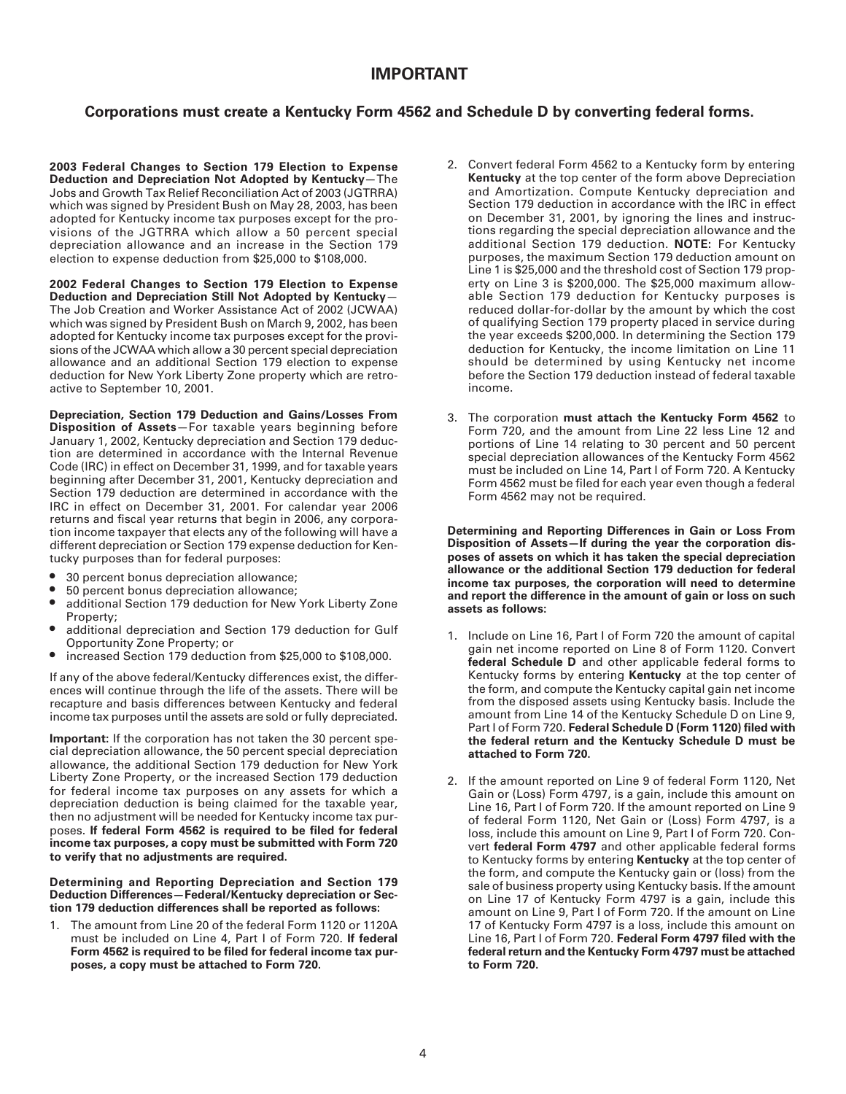## **IMPORTANT**

## **Corporations must create a Kentucky Form 4562 and Schedule D by converting federal forms.**

**2003 Federal Changes to Section 179 Election to Expense Deduction and Depreciation Not Adopted by Kentucky**—The Jobs and Growth Tax Relief Reconciliation Act of 2003 (JGTRRA) which was signed by President Bush on May 28, 2003, has been adopted for Kentucky income tax purposes except for the provisions of the JGTRRA which allow a 50 percent special depreciation allowance and an increase in the Section 179 election to expense deduction from \$25,000 to \$108,000.

**2002 Federal Changes to Section 179 Election to Expense Deduction and Depreciation Still Not Adopted by Kentucky**— The Job Creation and Worker Assistance Act of 2002 (JCWAA) which was signed by President Bush on March 9, 2002, has been adopted for Kentucky income tax purposes except for the provisions of the JCWAA which allow a 30 percent special depreciation allowance and an additional Section 179 election to expense deduction for New York Liberty Zone property which are retroactive to September 10, 2001.

**Depreciation, Section 179 Deduction and Gains/Losses From Disposition of Assets**—For taxable years beginning before January 1, 2002, Kentucky depreciation and Section 179 deduction are determined in accordance with the Internal Revenue Code (IRC) in effect on December 31, 1999, and for taxable years beginning after December 31, 2001, Kentucky depreciation and Section 179 deduction are determined in accordance with the IRC in effect on December 31, 2001. For calendar year 2006 returns and fiscal year returns that begin in 2006, any corporation income taxpayer that elects any of the following will have a different depreciation or Section 179 expense deduction for Kentucky purposes than for federal purposes:

- 30 percent bonus depreciation allowance;
- 50 percent bonus depreciation allowance;
- additional Section 179 deduction for New York Liberty Zone Property;
- additional depreciation and Section 179 deduction for Gulf Opportunity Zone Property; or
- increased Section 179 deduction from \$25,000 to \$108,000.

If any of the above federal/Kentucky differences exist, the differences will continue through the life of the assets. There will be recapture and basis differences between Kentucky and federal income tax purposes until the assets are sold or fully depreciated.

**Important:** If the corporation has not taken the 30 percent special depreciation allowance, the 50 percent special depreciation allowance, the additional Section 179 deduction for New York Liberty Zone Property, or the increased Section 179 deduction for federal income tax purposes on any assets for which a depreciation deduction is being claimed for the taxable year, then no adjustment will be needed for Kentucky income tax purposes. **If federal Form 4562 is required to be filed for federal income tax purposes, a copy must be submitted with Form 720 to verify that no adjustments are required.**

#### **Determining and Reporting Depreciation and Section 179 Deduction Differences—Federal/Kentucky depreciation or Section 179 deduction differences shall be reported as follows:**

1. The amount from Line 20 of the federal Form 1120 or 1120A must be included on Line 4, Part I of Form 720. **If federal Form 4562 is required to be filed for federal income tax purposes, a copy must be attached to Form 720.**

- 2. Convert federal Form 4562 to a Kentucky form by entering **Kentucky** at the top center of the form above Depreciation and Amortization. Compute Kentucky depreciation and Section 179 deduction in accordance with the IRC in effect on December 31, 2001, by ignoring the lines and instructions regarding the special depreciation allowance and the additional Section 179 deduction. **NOTE:** For Kentucky purposes, the maximum Section 179 deduction amount on Line 1 is \$25,000 and the threshold cost of Section 179 property on Line 3 is \$200,000. The \$25,000 maximum allowable Section 179 deduction for Kentucky purposes is reduced dollar-for-dollar by the amount by which the cost of qualifying Section 179 property placed in service during the year exceeds \$200,000. In determining the Section 179 deduction for Kentucky, the income limitation on Line 11 should be determined by using Kentucky net income before the Section 179 deduction instead of federal taxable income.
- 3. The corporation **must attach the Kentucky Form 4562** to Form 720, and the amount from Line 22 less Line 12 and portions of Line 14 relating to 30 percent and 50 percent special depreciation allowances of the Kentucky Form 4562 must be included on Line 14, Part I of Form 720. A Kentucky Form 4562 must be filed for each year even though a federal Form 4562 may not be required.

**Determining and Reporting Differences in Gain or Loss From Disposition of Assets—If during the year the corporation disposes of assets on which it has taken the special depreciation allowance or the additional Section 179 deduction for federal income tax purposes, the corporation will need to determine and report the difference in the amount of gain or loss on such assets as follows:**

- 1. Include on Line 16, Part I of Form 720 the amount of capital gain net income reported on Line 8 of Form 1120. Convert **federal Schedule D** and other applicable federal forms to Kentucky forms by entering **Kentucky** at the top center of the form, and compute the Kentucky capital gain net income from the disposed assets using Kentucky basis. Include the amount from Line 14 of the Kentucky Schedule D on Line 9, Part I of Form 720. **Federal Schedule D (Form 1120) filed with the federal return and the Kentucky Schedule D must be attached to Form 720.**
- 2. If the amount reported on Line 9 of federal Form 1120, Net Gain or (Loss) Form 4797, is a gain, include this amount on Line 16, Part I of Form 720. If the amount reported on Line 9 of federal Form 1120, Net Gain or (Loss) Form 4797, is a loss, include this amount on Line 9, Part I of Form 720. Convert **federal Form 4797** and other applicable federal forms to Kentucky forms by entering **Kentucky** at the top center of the form, and compute the Kentucky gain or (loss) from the sale of business property using Kentucky basis. If the amount on Line 17 of Kentucky Form 4797 is a gain, include this amount on Line 9, Part I of Form 720. If the amount on Line 17 of Kentucky Form 4797 is a loss, include this amount on Line 16, Part I of Form 720. **Federal Form 4797 filed with the federal return and the Kentucky Form 4797 must be attached to Form 720.**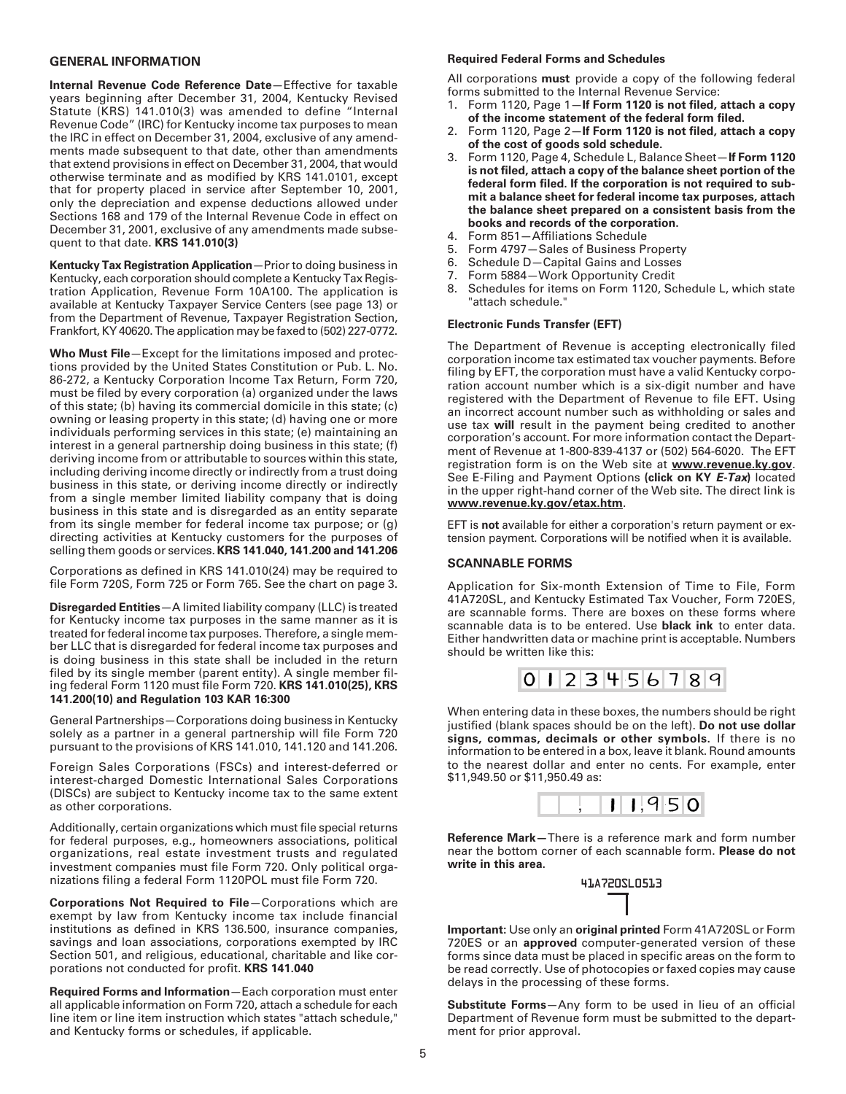#### **GENERAL INFORMATION**

**Internal Revenue Code Reference Date**—Effective for taxable years beginning after December 31, 2004, Kentucky Revised Statute (KRS) 141.010(3) was amended to define "Internal Revenue Code" (IRC) for Kentucky income tax purposes to mean the IRC in effect on December 31, 2004, exclusive of any amendments made subsequent to that date, other than amendments that extend provisions in effect on December 31, 2004, that would otherwise terminate and as modified by KRS 141.0101, except that for property placed in service after September 10, 2001, only the depreciation and expense deductions allowed under Sections 168 and 179 of the Internal Revenue Code in effect on December 31, 2001, exclusive of any amendments made subsequent to that date. **KRS 141.010(3)**

**Kentucky Tax Registration Application**—Prior to doing business in Kentucky, each corporation should complete a Kentucky Tax Registration Application, Revenue Form 10A100. The application is available at Kentucky Taxpayer Service Centers (see page 13) or from the Department of Revenue, Taxpayer Registration Section, Frankfort, KY 40620. The application may be faxed to (502) 227-0772.

**Who Must File**—Except for the limitations imposed and protections provided by the United States Constitution or Pub. L. No. 86-272, a Kentucky Corporation Income Tax Return, Form 720, must be filed by every corporation (a) organized under the laws of this state; (b) having its commercial domicile in this state; (c) owning or leasing property in this state; (d) having one or more individuals performing services in this state; (e) maintaining an interest in a general partnership doing business in this state; (f) deriving income from or attributable to sources within this state, including deriving income directly or indirectly from a trust doing business in this state, or deriving income directly or indirectly from a single member limited liability company that is doing business in this state and is disregarded as an entity separate from its single member for federal income tax purpose; or (g) directing activities at Kentucky customers for the purposes of selling them goods or services. **KRS 141.040, 141.200 and 141.206**

Corporations as defined in KRS 141.010(24) may be required to file Form 720S, Form 725 or Form 765. See the chart on page 3.

**Disregarded Entities**—A limited liability company (LLC) is treated for Kentucky income tax purposes in the same manner as it is treated for federal income tax purposes. Therefore, a single member LLC that is disregarded for federal income tax purposes and is doing business in this state shall be included in the return filed by its single member (parent entity). A single member filing federal Form 1120 must file Form 720. **KRS 141.010(25), KRS 141.200(10) and Regulation 103 KAR 16:300**

General Partnerships—Corporations doing business in Kentucky solely as a partner in a general partnership will file Form 720 pursuant to the provisions of KRS 141.010, 141.120 and 141.206.

Foreign Sales Corporations (FSCs) and interest-deferred or interest-charged Domestic International Sales Corporations (DISCs) are subject to Kentucky income tax to the same extent as other corporations.

Additionally, certain organizations which must file special returns for federal purposes, e.g., homeowners associations, political organizations, real estate investment trusts and regulated investment companies must file Form 720. Only political organizations filing a federal Form 1120POL must file Form 720.

**Corporations Not Required to File**—Corporations which are exempt by law from Kentucky income tax include financial institutions as defined in KRS 136.500, insurance companies, savings and loan associations, corporations exempted by IRC Section 501, and religious, educational, charitable and like corporations not conducted for profit. **KRS 141.040**

**Required Forms and Information**—Each corporation must enter all applicable information on Form 720, attach a schedule for each line item or line item instruction which states "attach schedule," and Kentucky forms or schedules, if applicable.

#### **Required Federal Forms and Schedules**

All corporations **must** provide a copy of the following federal forms submitted to the Internal Revenue Service:

- 1. Form 1120, Page 1—**If Form 1120 is not filed, attach a copy of the income statement of the federal form filed.**
- 2. Form 1120, Page 2—**If Form 1120 is not filed, attach a copy of the cost of goods sold schedule.**
- 3. Form 1120, Page 4, Schedule L, Balance Sheet—**If Form 1120 is not filed, attach a copy of the balance sheet portion of the federal form filed. If the corporation is not required to submit a balance sheet for federal income tax purposes, attach the balance sheet prepared on a consistent basis from the books and records of the corporation.**
- 4. Form 851—Affiliations Schedule
- 5. Form 4797—Sales of Business Property
- 6. Schedule D—Capital Gains and Losses
- 7. Form 5884—Work Opportunity Credit
- 8. Schedules for items on Form 1120, Schedule L, which state "attach schedule."

#### **Electronic Funds Transfer (EFT)**

The Department of Revenue is accepting electronically filed corporation income tax estimated tax voucher payments. Before filing by EFT, the corporation must have a valid Kentucky corporation account number which is a six-digit number and have registered with the Department of Revenue to file EFT. Using an incorrect account number such as withholding or sales and use tax **will** result in the payment being credited to another corporation's account. For more information contact the Department of Revenue at 1-800-839-4137 or (502) 564-6020. The EFT registration form is on the Web site at **www.revenue.ky.gov**. See E-Filing and Payment Options **(click on KY E-Tax)** located in the upper right-hand corner of the Web site. The direct link is **www.revenue.ky.gov/etax.htm**.

EFT is **not** available for either a corporation's return payment or extension payment. Corporations will be notified when it is available.

#### **SCANNABLE FORMS**

Application for Six-month Extension of Time to File, Form 41A720SL, and Kentucky Estimated Tax Voucher, Form 720ES, are scannable forms. There are boxes on these forms where scannable data is to be entered. Use **black ink** to enter data. Either handwritten data or machine print is acceptable. Numbers should be written like this:



When entering data in these boxes, the numbers should be right justified (blank spaces should be on the left). **Do not use dollar signs, commas, decimals or other symbols.** If there is no information to be entered in a box, leave it blank. Round amounts to the nearest dollar and enter no cents. For example, enter \$11,949.50 or \$11,950.49 as:



**Reference Mark—**There is a reference mark and form number near the bottom corner of each scannable form. **Please do not write in this area.**



**Important:** Use only an **original printed** Form 41A720SL or Form 720ES or an **approved** computer-generated version of these forms since data must be placed in specific areas on the form to be read correctly. Use of photocopies or faxed copies may cause delays in the processing of these forms.

**Substitute Forms**—Any form to be used in lieu of an official Department of Revenue form must be submitted to the department for prior approval.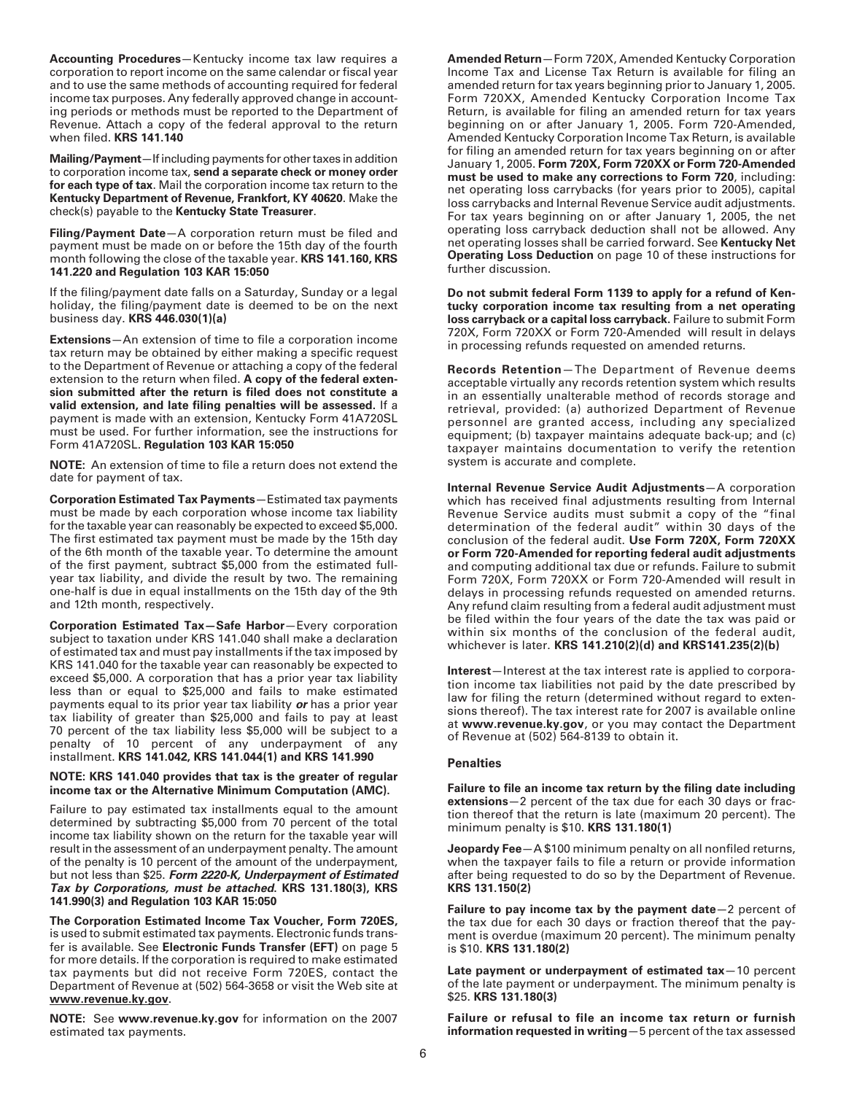**Accounting Procedures**—Kentucky income tax law requires a corporation to report income on the same calendar or fiscal year and to use the same methods of accounting required for federal income tax purposes. Any federally approved change in accounting periods or methods must be reported to the Department of Revenue. Attach a copy of the federal approval to the return when filed. **KRS 141.140**

**Mailing/Payment**—If including payments for other taxes in addition to corporation income tax, **send a separate check or money order for each type of tax**. Mail the corporation income tax return to the **Kentucky Department of Revenue, Frankfort, KY 40620**. Make the check(s) payable to the **Kentucky State Treasurer**.

**Filing/Payment Date**—A corporation return must be filed and payment must be made on or before the 15th day of the fourth month following the close of the taxable year. **KRS 141.160, KRS 141.220 and Regulation 103 KAR 15:050**

If the filing/payment date falls on a Saturday, Sunday or a legal holiday, the filing/payment date is deemed to be on the next business day. **KRS 446.030(1)(a)**

**Extensions**—An extension of time to file a corporation income tax return may be obtained by either making a specific request to the Department of Revenue or attaching a copy of the federal extension to the return when filed. **A copy of the federal extension submitted after the return is filed does not constitute a valid extension, and late filing penalties will be assessed.** If a payment is made with an extension, Kentucky Form 41A720SL must be used. For further information, see the instructions for Form 41A720SL. **Regulation 103 KAR 15:050**

**NOTE:** An extension of time to file a return does not extend the date for payment of tax.

**Corporation Estimated Tax Payments**—Estimated tax payments must be made by each corporation whose income tax liability for the taxable year can reasonably be expected to exceed \$5,000. The first estimated tax payment must be made by the 15th day of the 6th month of the taxable year. To determine the amount of the first payment, subtract \$5,000 from the estimated fullyear tax liability, and divide the result by two. The remaining one-half is due in equal installments on the 15th day of the 9th and 12th month, respectively.

**Corporation Estimated Tax—Safe Harbor**—Every corporation subject to taxation under KRS 141.040 shall make a declaration of estimated tax and must pay installments if the tax imposed by KRS 141.040 for the taxable year can reasonably be expected to exceed \$5,000. A corporation that has a prior year tax liability less than or equal to \$25,000 and fails to make estimated payments equal to its prior year tax liability **or** has a prior year tax liability of greater than \$25,000 and fails to pay at least 70 percent of the tax liability less \$5,000 will be subject to a penalty of 10 percent of any underpayment of any installment. **KRS 141.042, KRS 141.044(1) and KRS 141.990**

#### **NOTE: KRS 141.040 provides that tax is the greater of regular income tax or the Alternative Minimum Computation (AMC).**

Failure to pay estimated tax installments equal to the amount determined by subtracting \$5,000 from 70 percent of the total income tax liability shown on the return for the taxable year will result in the assessment of an underpayment penalty. The amount of the penalty is 10 percent of the amount of the underpayment, but not less than \$25. **Form 2220-K, Underpayment of Estimated Tax by Corporations, must be attached. KRS 131.180(3), KRS 141.990(3) and Regulation 103 KAR 15:050**

**The Corporation Estimated Income Tax Voucher, Form 720ES,** is used to submit estimated tax payments. Electronic funds transfer is available. See **Electronic Funds Transfer (EFT)** on page 5 for more details. If the corporation is required to make estimated tax payments but did not receive Form 720ES, contact the Department of Revenue at (502) 564-3658 or visit the Web site at **www.revenue.ky.gov**.

**NOTE:** See **www.revenue.ky.gov** for information on the 2007 estimated tax payments.

**Amended Return**—Form 720X, Amended Kentucky Corporation Income Tax and License Tax Return is available for filing an amended return for tax years beginning prior to January 1, 2005. Form 720XX, Amended Kentucky Corporation Income Tax Return, is available for filing an amended return for tax years beginning on or after January 1, 2005. Form 720-Amended, Amended Kentucky Corporation Income Tax Return, is available for filing an amended return for tax years beginning on or after January 1, 2005. **Form 720X, Form 720XX or Form 720-Amended must be used to make any corrections to Form 720**, including: net operating loss carrybacks (for years prior to 2005), capital loss carrybacks and Internal Revenue Service audit adjustments. For tax years beginning on or after January 1, 2005, the net operating loss carryback deduction shall not be allowed. Any net operating losses shall be carried forward. See **Kentucky Net Operating Loss Deduction** on page 10 of these instructions for further discussion.

**Do not submit federal Form 1139 to apply for a refund of Kentucky corporation income tax resulting from a net operating loss carryback or a capital loss carryback.** Failure to submit Form 720X, Form 720XX or Form 720-Amended will result in delays in processing refunds requested on amended returns.

**Records Retention**—The Department of Revenue deems acceptable virtually any records retention system which results in an essentially unalterable method of records storage and retrieval, provided: (a) authorized Department of Revenue personnel are granted access, including any specialized equipment; (b) taxpayer maintains adequate back-up; and (c) taxpayer maintains documentation to verify the retention system is accurate and complete.

**Internal Revenue Service Audit Adjustments**—A corporation which has received final adjustments resulting from Internal Revenue Service audits must submit a copy of the "final determination of the federal audit" within 30 days of the conclusion of the federal audit. **Use Form 720X, Form 720XX or Form 720-Amended for reporting federal audit adjustments** and computing additional tax due or refunds. Failure to submit Form 720X, Form 720XX or Form 720-Amended will result in delays in processing refunds requested on amended returns. Any refund claim resulting from a federal audit adjustment must be filed within the four years of the date the tax was paid or within six months of the conclusion of the federal audit, whichever is later. **KRS 141.210(2)(d) and KRS141.235(2)(b)**

**Interest**—Interest at the tax interest rate is applied to corporation income tax liabilities not paid by the date prescribed by law for filing the return (determined without regard to extensions thereof). The tax interest rate for 2007 is available online at **www.revenue.ky.gov**, or you may contact the Department of Revenue at (502) 564-8139 to obtain it.

## **Penalties**

**Failure to file an income tax return by the filing date including extensions**—2 percent of the tax due for each 30 days or fraction thereof that the return is late (maximum 20 percent). The minimum penalty is \$10. **KRS 131.180(1)**

**Jeopardy Fee**—A \$100 minimum penalty on all nonfiled returns, when the taxpayer fails to file a return or provide information after being requested to do so by the Department of Revenue. **KRS 131.150(2)**

**Failure to pay income tax by the payment date**—2 percent of the tax due for each 30 days or fraction thereof that the payment is overdue (maximum 20 percent). The minimum penalty is \$10. **KRS 131.180(2)**

**Late payment or underpayment of estimated tax**—10 percent of the late payment or underpayment. The minimum penalty is \$25. **KRS 131.180(3)**

**Failure or refusal to file an income tax return or furnish information requested in writing**—5 percent of the tax assessed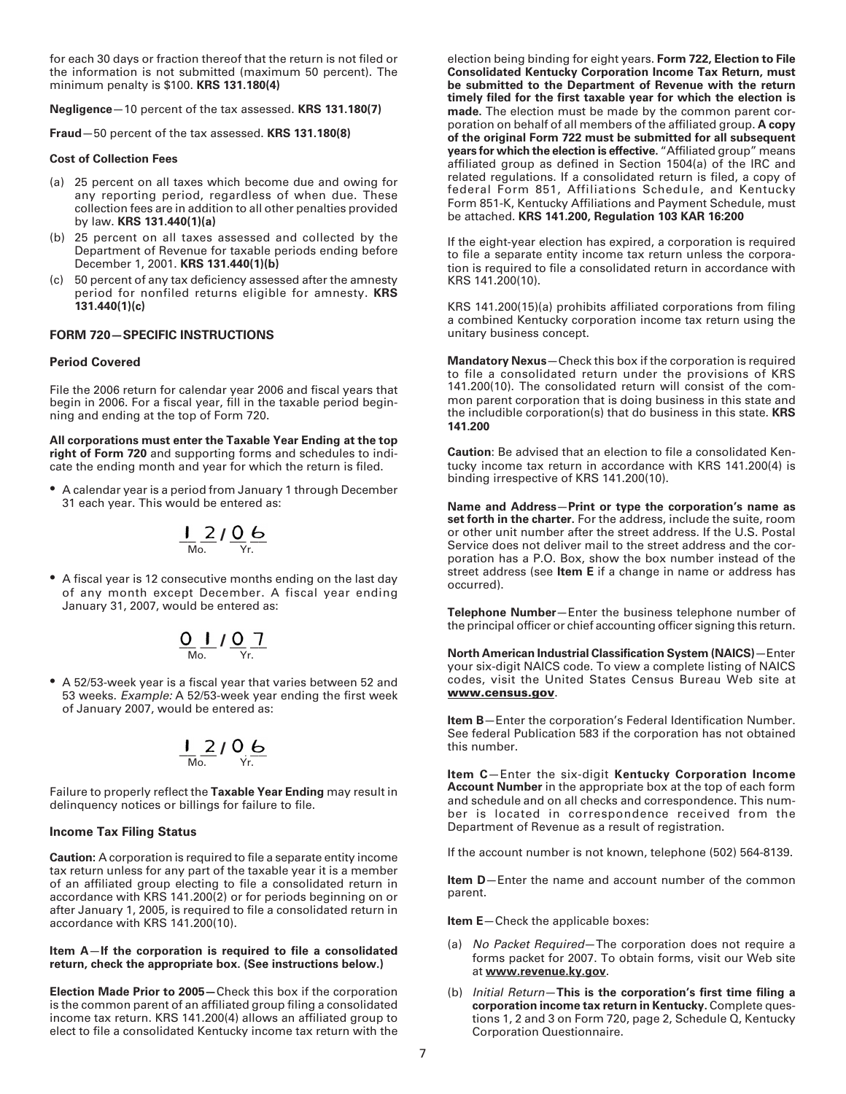for each 30 days or fraction thereof that the return is not filed or the information is not submitted (maximum 50 percent). The minimum penalty is \$100. **KRS 131.180(4)**

**Negligence**—10 percent of the tax assessed. **KRS 131.180(7)**

**Fraud**—50 percent of the tax assessed. **KRS 131.180(8)**

#### **Cost of Collection Fees**

- (a) 25 percent on all taxes which become due and owing for any reporting period, regardless of when due. These collection fees are in addition to all other penalties provided by law. **KRS 131.440(1)(a)**
- (b) 25 percent on all taxes assessed and collected by the Department of Revenue for taxable periods ending before December 1, 2001. **KRS 131.440(1)(b)**
- (c) 50 percent of any tax deficiency assessed after the amnesty period for nonfiled returns eligible for amnesty. **KRS 131.440(1)(c)**

## **FORM 720—SPECIFIC INSTRUCTIONS**

#### **Period Covered**

File the 2006 return for calendar year 2006 and fiscal years that begin in 2006. For a fiscal year, fill in the taxable period beginning and ending at the top of Form 720.

**All corporations must enter the Taxable Year Ending at the top right of Form 720** and supporting forms and schedules to indicate the ending month and year for which the return is filed.

• A calendar year is a period from January 1 through December 31 each year. This would be entered as:

$$
\frac{1}{M_{\text{O.}}}2\frac{0}{Y_{r}}\frac{6}{Y_{r}}
$$

• A fiscal year is 12 consecutive months ending on the last day of any month except December. A fiscal year ending January 31, 2007, would be entered as:

$$
\underbrace{O}_{\text{Mo.}}\int \underbrace{O}_{\text{Yr.}} \underbrace{7}
$$

• A 52/53-week year is a fiscal year that varies between 52 and 53 weeks. Example: A 52/53-week year ending the first week of January 2007, would be entered as:

$$
\frac{1}{\sqrt{100}} \frac{2}{\sqrt{10}} \frac{1}{\sqrt{10}} \frac{6}{\sqrt{10}}
$$

Failure to properly reflect the **Taxable Year Ending** may result in delinquency notices or billings for failure to file.

#### **Income Tax Filing Status**

**Caution:** A corporation is required to file a separate entity income tax return unless for any part of the taxable year it is a member of an affiliated group electing to file a consolidated return in accordance with KRS 141.200(2) or for periods beginning on or after January 1, 2005, is required to file a consolidated return in accordance with KRS 141.200(10).

#### **Item A**—**If the corporation is required to file a consolidated return, check the appropriate box. (See instructions below.)**

**Election Made Prior to 2005—**Check this box if the corporation is the common parent of an affiliated group filing a consolidated income tax return. KRS 141.200(4) allows an affiliated group to elect to file a consolidated Kentucky income tax return with the election being binding for eight years. **Form 722, Election to File Consolidated Kentucky Corporation Income Tax Return, must be submitted to the Department of Revenue with the return timely filed for the first taxable year for which the election is made.** The election must be made by the common parent corporation on behalf of all members of the affiliated group. **A copy of the original Form 722 must be submitted for all subsequent years for which the election is effective.** "Affiliated group" means affiliated group as defined in Section 1504(a) of the IRC and related regulations. If a consolidated return is filed, a copy of federal Form 851, Affiliations Schedule, and Kentucky Form 851-K, Kentucky Affiliations and Payment Schedule, must be attached. **KRS 141.200, Regulation 103 KAR 16:200**

If the eight-year election has expired, a corporation is required to file a separate entity income tax return unless the corporation is required to file a consolidated return in accordance with KRS 141.200(10).

KRS 141.200(15)(a) prohibits affiliated corporations from filing a combined Kentucky corporation income tax return using the unitary business concept.

**Mandatory Nexus**—Check this box if the corporation is required to file a consolidated return under the provisions of KRS 141.200(10). The consolidated return will consist of the common parent corporation that is doing business in this state and the includible corporation(s) that do business in this state. **KRS 141.200**

**Caution**: Be advised that an election to file a consolidated Kentucky income tax return in accordance with KRS 141.200(4) is binding irrespective of KRS 141.200(10).

**Name and Address**—**Print or type the corporation's name as set forth in the charter.** For the address, include the suite, room or other unit number after the street address. If the U.S. Postal Service does not deliver mail to the street address and the corporation has a P.O. Box, show the box number instead of the street address (see **Item E** if a change in name or address has occurred).

**Telephone Number**—Enter the business telephone number of the principal officer or chief accounting officer signing this return.

**North American Industrial Classification System (NAICS)**—Enter your six-digit NAICS code. To view a complete listing of NAICS codes, visit the United States Census Bureau Web site at **www.census.gov**.

**Item B**—Enter the corporation's Federal Identification Number. See federal Publication 583 if the corporation has not obtained this number.

**Item C**—Enter the six-digit **Kentucky Corporation Income Account Number** in the appropriate box at the top of each form and schedule and on all checks and correspondence. This number is located in correspondence received from the Department of Revenue as a result of registration.

If the account number is not known, telephone (502) 564-8139.

**Item D**—Enter the name and account number of the common parent.

**Item E**—Check the applicable boxes:

- (a) No Packet Required–The corporation does not require a forms packet for 2007. To obtain forms, visit our Web site at **www.revenue.ky.gov**.
- (b) Initial Return—**This is the corporation's first time filing a corporation income tax return in Kentucky.** Complete questions 1, 2 and 3 on Form 720, page 2, Schedule Q, Kentucky Corporation Questionnaire.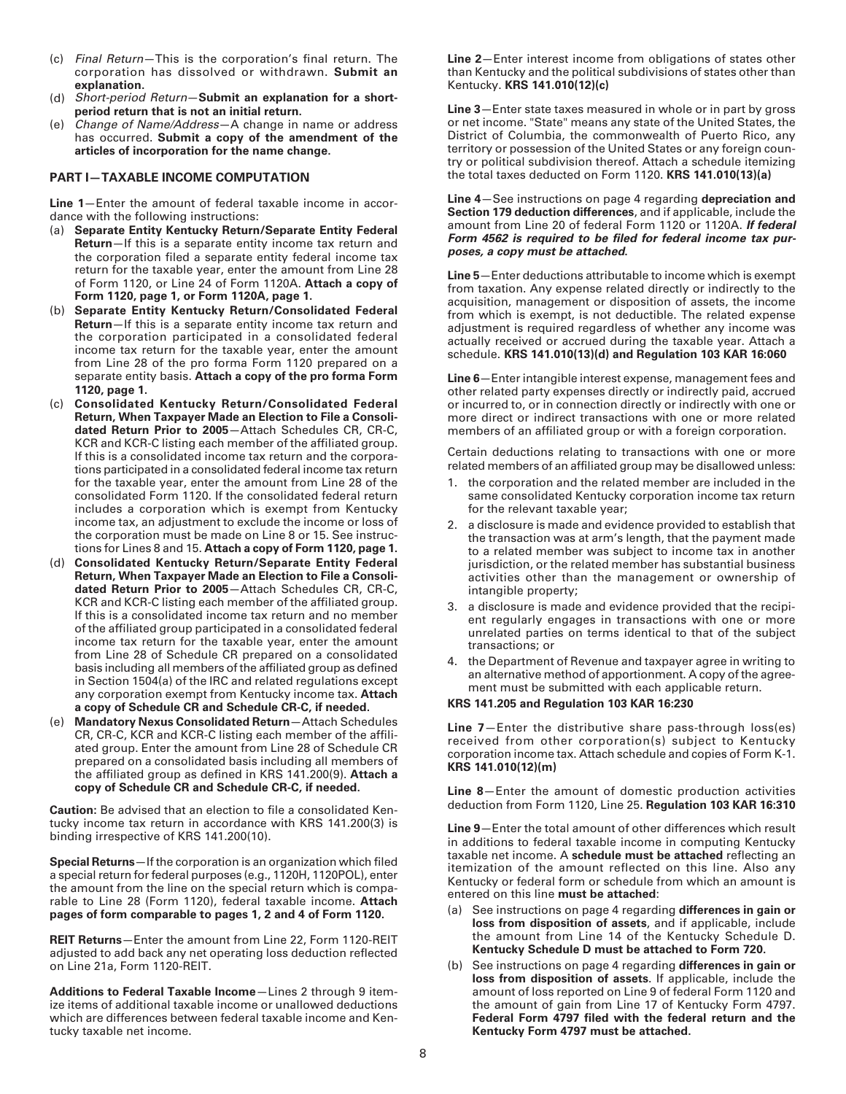- (c) Final Return—This is the corporation's final return. The corporation has dissolved or withdrawn. **Submit an explanation.**
- (d) Short-period Return—**Submit an explanation for a shortperiod return that is not an initial return.**
- (e) Change of Name/Address—A change in name or address has occurred. **Submit a copy of the amendment of the articles of incorporation for the name change.**

#### **PART I—TAXABLE INCOME COMPUTATION**

**Line 1**—Enter the amount of federal taxable income in accordance with the following instructions:

- (a) **Separate Entity Kentucky Return/Separate Entity Federal Return**—If this is a separate entity income tax return and the corporation filed a separate entity federal income tax return for the taxable year, enter the amount from Line 28 of Form 1120, or Line 24 of Form 1120A. **Attach a copy of Form 1120, page 1, or Form 1120A, page 1.**
- (b) **Separate Entity Kentucky Return/Consolidated Federal Return**—If this is a separate entity income tax return and the corporation participated in a consolidated federal income tax return for the taxable year, enter the amount from Line 28 of the pro forma Form 1120 prepared on a separate entity basis. **Attach a copy of the pro forma Form 1120, page 1.**
- (c) **Consolidated Kentucky Return/Consolidated Federal Return, When Taxpayer Made an Election to File a Consolidated Return Prior to 2005**—Attach Schedules CR, CR-C, KCR and KCR-C listing each member of the affiliated group. If this is a consolidated income tax return and the corporations participated in a consolidated federal income tax return for the taxable year, enter the amount from Line 28 of the consolidated Form 1120. If the consolidated federal return includes a corporation which is exempt from Kentucky income tax, an adjustment to exclude the income or loss of the corporation must be made on Line 8 or 15. See instructions for Lines 8 and 15. **Attach a copy of Form 1120, page 1.**
- (d) **Consolidated Kentucky Return/Separate Entity Federal Return, When Taxpayer Made an Election to File a Consolidated Return Prior to 2005**—Attach Schedules CR, CR-C, KCR and KCR-C listing each member of the affiliated group. If this is a consolidated income tax return and no member of the affiliated group participated in a consolidated federal income tax return for the taxable year, enter the amount from Line 28 of Schedule CR prepared on a consolidated basis including all members of the affiliated group as defined in Section 1504(a) of the IRC and related regulations except any corporation exempt from Kentucky income tax. **Attach a copy of Schedule CR and Schedule CR-C, if needed.**
- (e) **Mandatory Nexus Consolidated Return**—Attach Schedules CR, CR-C, KCR and KCR-C listing each member of the affiliated group. Enter the amount from Line 28 of Schedule CR prepared on a consolidated basis including all members of the affiliated group as defined in KRS 141.200(9). **Attach a copy of Schedule CR and Schedule CR-C, if needed.**

**Caution:** Be advised that an election to file a consolidated Kentucky income tax return in accordance with KRS 141.200(3) is binding irrespective of KRS 141.200(10).

**Special Returns**—If the corporation is an organization which filed a special return for federal purposes (e.g., 1120H, 1120POL), enter the amount from the line on the special return which is comparable to Line 28 (Form 1120), federal taxable income. **Attach pages of form comparable to pages 1, 2 and 4 of Form 1120.**

**REIT Returns**—Enter the amount from Line 22, Form 1120-REIT adjusted to add back any net operating loss deduction reflected on Line 21a, Form 1120-REIT.

**Additions to Federal Taxable Income**—Lines 2 through 9 itemize items of additional taxable income or unallowed deductions which are differences between federal taxable income and Kentucky taxable net income.

**Line 2**—Enter interest income from obligations of states other than Kentucky and the political subdivisions of states other than Kentucky. **KRS 141.010(12)(c)**

**Line 3**—Enter state taxes measured in whole or in part by gross or net income. "State" means any state of the United States, the District of Columbia, the commonwealth of Puerto Rico, any territory or possession of the United States or any foreign country or political subdivision thereof. Attach a schedule itemizing the total taxes deducted on Form 1120. **KRS 141.010(13)(a)**

**Line 4**—See instructions on page 4 regarding **depreciation and Section 179 deduction differences**, and if applicable, include the amount from Line 20 of federal Form 1120 or 1120A. **If federal Form 4562 is required to be filed for federal income tax purposes, a copy must be attached.**

**Line 5**—Enter deductions attributable to income which is exempt from taxation. Any expense related directly or indirectly to the acquisition, management or disposition of assets, the income from which is exempt, is not deductible. The related expense adjustment is required regardless of whether any income was actually received or accrued during the taxable year. Attach a schedule. **KRS 141.010(13)(d) and Regulation 103 KAR 16:060**

**Line 6**—Enter intangible interest expense, management fees and other related party expenses directly or indirectly paid, accrued or incurred to, or in connection directly or indirectly with one or more direct or indirect transactions with one or more related members of an affiliated group or with a foreign corporation.

Certain deductions relating to transactions with one or more related members of an affiliated group may be disallowed unless:

- 1. the corporation and the related member are included in the same consolidated Kentucky corporation income tax return for the relevant taxable year;
- 2. a disclosure is made and evidence provided to establish that the transaction was at arm's length, that the payment made to a related member was subject to income tax in another jurisdiction, or the related member has substantial business activities other than the management or ownership of intangible property;
- 3. a disclosure is made and evidence provided that the recipient regularly engages in transactions with one or more unrelated parties on terms identical to that of the subject transactions; or
- 4. the Department of Revenue and taxpayer agree in writing to an alternative method of apportionment. A copy of the agreement must be submitted with each applicable return.

#### **KRS 141.205 and Regulation 103 KAR 16:230**

**Line 7**—Enter the distributive share pass-through loss(es) received from other corporation(s) subject to Kentucky corporation income tax. Attach schedule and copies of Form K-1. **KRS 141.010(12)(m)**

**Line 8**—Enter the amount of domestic production activities deduction from Form 1120, Line 25. **Regulation 103 KAR 16:310**

**Line 9**—Enter the total amount of other differences which result in additions to federal taxable income in computing Kentucky taxable net income. A **schedule must be attached** reflecting an itemization of the amount reflected on this line. Also any Kentucky or federal form or schedule from which an amount is entered on this line **must be attached**:

- See instructions on page 4 regarding differences in gain or **loss from disposition of assets**, and if applicable, include the amount from Line 14 of the Kentucky Schedule D. **Kentucky Schedule D must be attached to Form 720.**
- (b) See instructions on page 4 regarding **differences in gain or loss from disposition of assets**. If applicable, include the amount of loss reported on Line 9 of federal Form 1120 and the amount of gain from Line 17 of Kentucky Form 4797. **Federal Form 4797 filed with the federal return and the Kentucky Form 4797 must be attached.**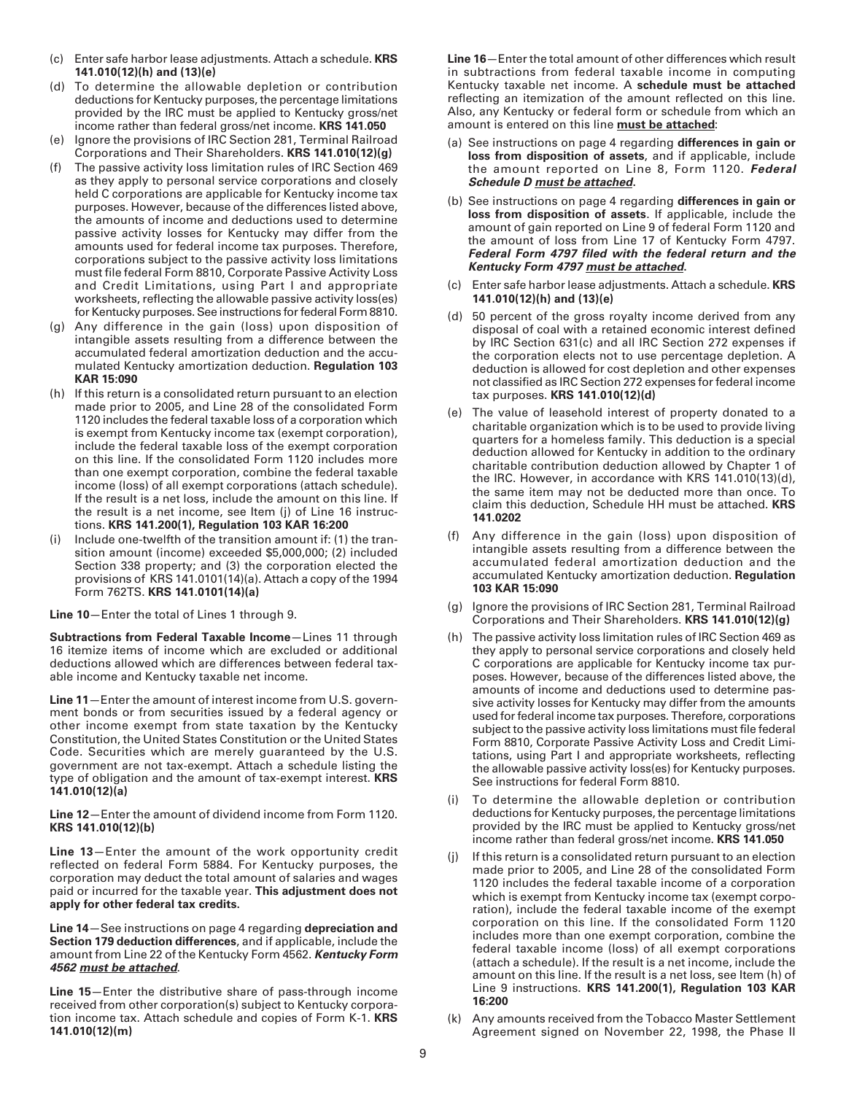- (c) Enter safe harbor lease adjustments. Attach a schedule. **KRS 141.010(12)(h) and (13)(e)**
- (d) To determine the allowable depletion or contribution deductions for Kentucky purposes, the percentage limitations provided by the IRC must be applied to Kentucky gross/net income rather than federal gross/net income. **KRS 141.050**
- (e) Ignore the provisions of IRC Section 281, Terminal Railroad Corporations and Their Shareholders. **KRS 141.010(12)(g)**
- (f) The passive activity loss limitation rules of IRC Section 469 as they apply to personal service corporations and closely held C corporations are applicable for Kentucky income tax purposes. However, because of the differences listed above, the amounts of income and deductions used to determine passive activity losses for Kentucky may differ from the amounts used for federal income tax purposes. Therefore, corporations subject to the passive activity loss limitations must file federal Form 8810, Corporate Passive Activity Loss and Credit Limitations, using Part I and appropriate worksheets, reflecting the allowable passive activity loss(es) for Kentucky purposes. See instructions for federal Form 8810.
- (g) Any difference in the gain (loss) upon disposition of intangible assets resulting from a difference between the accumulated federal amortization deduction and the accumulated Kentucky amortization deduction. **Regulation 103 KAR 15:090**
- (h) If this return is a consolidated return pursuant to an election made prior to 2005, and Line 28 of the consolidated Form 1120 includes the federal taxable loss of a corporation which is exempt from Kentucky income tax (exempt corporation), include the federal taxable loss of the exempt corporation on this line. If the consolidated Form 1120 includes more than one exempt corporation, combine the federal taxable income (loss) of all exempt corporations (attach schedule). If the result is a net loss, include the amount on this line. If the result is a net income, see Item (j) of Line 16 instructions. **KRS 141.200(1), Regulation 103 KAR 16:200**
- (i) Include one-twelfth of the transition amount if: (1) the transition amount (income) exceeded \$5,000,000; (2) included Section 338 property; and (3) the corporation elected the provisions of KRS 141.0101(14)(a). Attach a copy of the 1994 Form 762TS. **KRS 141.0101(14)(a)**

**Line 10**—Enter the total of Lines 1 through 9.

**Subtractions from Federal Taxable Income**—Lines 11 through 16 itemize items of income which are excluded or additional deductions allowed which are differences between federal taxable income and Kentucky taxable net income.

**Line 11**—Enter the amount of interest income from U.S. government bonds or from securities issued by a federal agency or other income exempt from state taxation by the Kentucky Constitution, the United States Constitution or the United States Code. Securities which are merely guaranteed by the U.S. government are not tax-exempt. Attach a schedule listing the type of obligation and the amount of tax-exempt interest. **KRS 141.010(12)(a)**

**Line 12**—Enter the amount of dividend income from Form 1120. **KRS 141.010(12)(b)**

**Line 13**—Enter the amount of the work opportunity credit reflected on federal Form 5884. For Kentucky purposes, the corporation may deduct the total amount of salaries and wages paid or incurred for the taxable year. **This adjustment does not apply for other federal tax credits.**

**Line 14**—See instructions on page 4 regarding **depreciation and Section 179 deduction differences**, and if applicable, include the amount from Line 22 of the Kentucky Form 4562. **Kentucky Form 4562 must be attached**.

**Line 15**—Enter the distributive share of pass-through income received from other corporation(s) subject to Kentucky corporation income tax. Attach schedule and copies of Form K-1. **KRS 141.010(12)(m)**

**Line 16**—Enter the total amount of other differences which result in subtractions from federal taxable income in computing Kentucky taxable net income. A **schedule must be attached** reflecting an itemization of the amount reflected on this line. Also, any Kentucky or federal form or schedule from which an amount is entered on this line **must be attached**:

- (a) See instructions on page 4 regarding **differences in gain or loss from disposition of assets**, and if applicable, include the amount reported on Line 8, Form 1120. **Federal Schedule D must be attached.**
- (b) See instructions on page 4 regarding **differences in gain or loss from disposition of assets**. If applicable, include the amount of gain reported on Line 9 of federal Form 1120 and the amount of loss from Line 17 of Kentucky Form 4797. **Federal Form 4797 filed with the federal return and the Kentucky Form 4797 must be attached.**
- (c) Enter safe harbor lease adjustments. Attach a schedule. **KRS 141.010(12)(h) and (13)(e)**
- (d) 50 percent of the gross royalty income derived from any disposal of coal with a retained economic interest defined by IRC Section 631(c) and all IRC Section 272 expenses if the corporation elects not to use percentage depletion. A deduction is allowed for cost depletion and other expenses not classified as IRC Section 272 expenses for federal income tax purposes. **KRS 141.010(12)(d)**
- (e) The value of leasehold interest of property donated to a charitable organization which is to be used to provide living quarters for a homeless family. This deduction is a special deduction allowed for Kentucky in addition to the ordinary charitable contribution deduction allowed by Chapter 1 of the IRC. However, in accordance with KRS 141.010(13)(d), the same item may not be deducted more than once. To claim this deduction, Schedule HH must be attached. **KRS 141.0202**
- (f) Any difference in the gain (loss) upon disposition of intangible assets resulting from a difference between the accumulated federal amortization deduction and the accumulated Kentucky amortization deduction. **Regulation 103 KAR 15:090**
- (g) Ignore the provisions of IRC Section 281, Terminal Railroad Corporations and Their Shareholders. **KRS 141.010(12)(g)**
- (h) The passive activity loss limitation rules of IRC Section 469 as they apply to personal service corporations and closely held C corporations are applicable for Kentucky income tax purposes. However, because of the differences listed above, the amounts of income and deductions used to determine passive activity losses for Kentucky may differ from the amounts used for federal income tax purposes. Therefore, corporations subject to the passive activity loss limitations must file federal Form 8810, Corporate Passive Activity Loss and Credit Limitations, using Part I and appropriate worksheets, reflecting the allowable passive activity loss(es) for Kentucky purposes. See instructions for federal Form 8810.
- (i) To determine the allowable depletion or contribution deductions for Kentucky purposes, the percentage limitations provided by the IRC must be applied to Kentucky gross/net income rather than federal gross/net income. **KRS 141.050**
- (j) If this return is a consolidated return pursuant to an election made prior to 2005, and Line 28 of the consolidated Form 1120 includes the federal taxable income of a corporation which is exempt from Kentucky income tax (exempt corporation), include the federal taxable income of the exempt corporation on this line. If the consolidated Form 1120 includes more than one exempt corporation, combine the federal taxable income (loss) of all exempt corporations (attach a schedule). If the result is a net income, include the amount on this line. If the result is a net loss, see Item (h) of Line 9 instructions. **KRS 141.200(1), Regulation 103 KAR 16:200**
- (k) Any amounts received from the Tobacco Master Settlement Agreement signed on November 22, 1998, the Phase II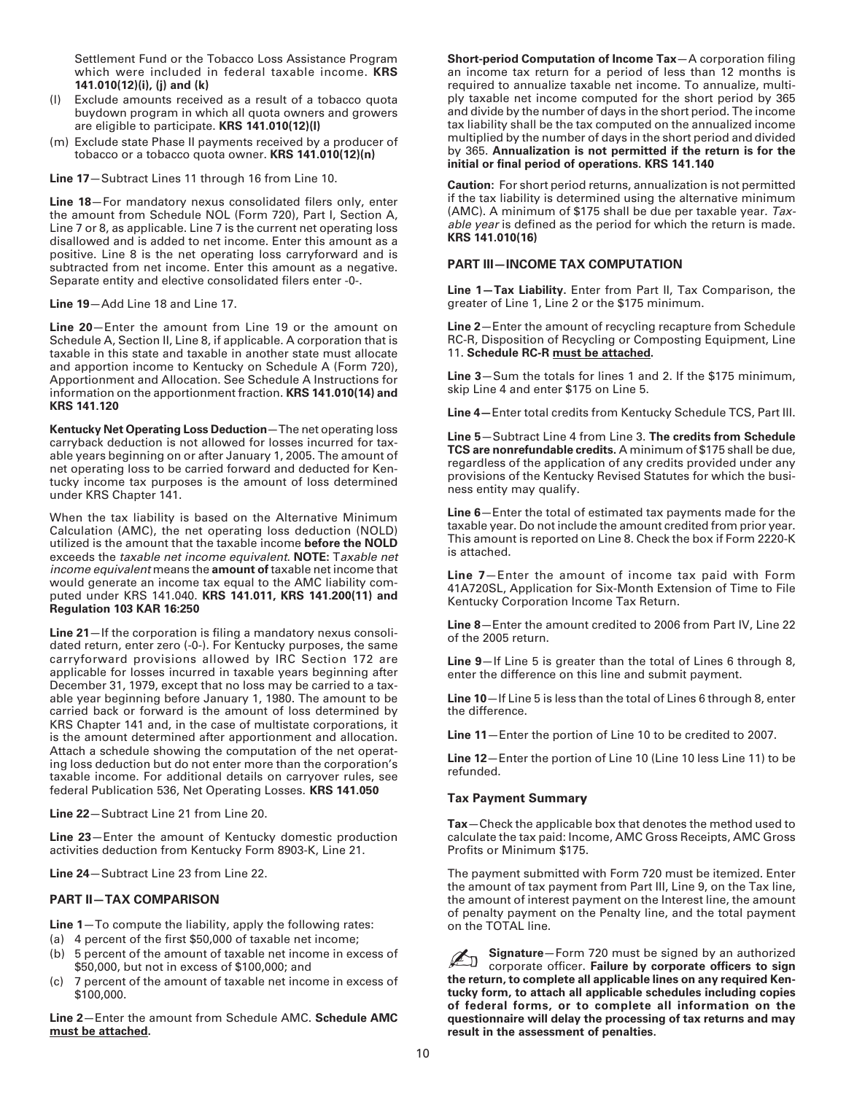Settlement Fund or the Tobacco Loss Assistance Program which were included in federal taxable income. **KRS 141.010(12)(i), (j) and (k)**

- (l) Exclude amounts received as a result of a tobacco quota buydown program in which all quota owners and growers are eligible to participate. **KRS 141.010(12)(l)**
- (m) Exclude state Phase II payments received by a producer of tobacco or a tobacco quota owner. **KRS 141.010(12)(n)**

**Line 17**—Subtract Lines 11 through 16 from Line 10.

**Line 18**—For mandatory nexus consolidated filers only, enter the amount from Schedule NOL (Form 720), Part I, Section A, Line 7 or 8, as applicable. Line 7 is the current net operating loss disallowed and is added to net income. Enter this amount as a positive. Line 8 is the net operating loss carryforward and is subtracted from net income. Enter this amount as a negative. Separate entity and elective consolidated filers enter -0-.

**Line 19**—Add Line 18 and Line 17.

**Line 20**—Enter the amount from Line 19 or the amount on Schedule A, Section II, Line 8, if applicable. A corporation that is taxable in this state and taxable in another state must allocate and apportion income to Kentucky on Schedule A (Form 720), Apportionment and Allocation. See Schedule A Instructions for information on the apportionment fraction. **KRS 141.010(14) and KRS 141.120**

**Kentucky Net Operating Loss Deduction**—The net operating loss carryback deduction is not allowed for losses incurred for taxable years beginning on or after January 1, 2005. The amount of net operating loss to be carried forward and deducted for Kentucky income tax purposes is the amount of loss determined under KRS Chapter 141.

When the tax liability is based on the Alternative Minimum Calculation (AMC), the net operating loss deduction (NOLD) utilized is the amount that the taxable income **before the NOLD** exceeds the taxable net income equivalent. **NOTE:** Taxable net income equivalent means the **amount of** taxable net income that would generate an income tax equal to the AMC liability computed under KRS 141.040. **KRS 141.011, KRS 141.200(11) and Regulation 103 KAR 16:250**

**Line 21**—If the corporation is filing a mandatory nexus consolidated return, enter zero (-0-). For Kentucky purposes, the same carryforward provisions allowed by IRC Section 172 are applicable for losses incurred in taxable years beginning after December 31, 1979, except that no loss may be carried to a taxable year beginning before January 1, 1980. The amount to be carried back or forward is the amount of loss determined by KRS Chapter 141 and, in the case of multistate corporations, it is the amount determined after apportionment and allocation. Attach a schedule showing the computation of the net operating loss deduction but do not enter more than the corporation's taxable income. For additional details on carryover rules, see federal Publication 536, Net Operating Losses. **KRS 141.050**

**Line 22**—Subtract Line 21 from Line 20.

**Line 23**—Enter the amount of Kentucky domestic production activities deduction from Kentucky Form 8903-K, Line 21.

**Line 24**—Subtract Line 23 from Line 22.

#### **PART II—TAX COMPARISON**

**Line 1**—To compute the liability, apply the following rates:

- (a) 4 percent of the first \$50,000 of taxable net income;
- (b) 5 percent of the amount of taxable net income in excess of \$50,000, but not in excess of \$100,000; and
- (c) 7 percent of the amount of taxable net income in excess of \$100,000.

**Line 2**—Enter the amount from Schedule AMC. **Schedule AMC must be attached.**

**Short-period Computation of Income Tax**—A corporation filing an income tax return for a period of less than 12 months is required to annualize taxable net income. To annualize, multiply taxable net income computed for the short period by 365 and divide by the number of days in the short period. The income tax liability shall be the tax computed on the annualized income multiplied by the number of days in the short period and divided by 365. **Annualization is not permitted if the return is for the initial or final period of operations. KRS 141.140**

**Caution:** For short period returns, annualization is not permitted if the tax liability is determined using the alternative minimum (AMC). A minimum of \$175 shall be due per taxable year. Taxable year is defined as the period for which the return is made. **KRS 141.010(16)**

#### **PART III—INCOME TAX COMPUTATION**

**Line 1—Tax Liability.** Enter from Part II, Tax Comparison, the greater of Line 1, Line 2 or the \$175 minimum.

**Line 2**—Enter the amount of recycling recapture from Schedule RC-R, Disposition of Recycling or Composting Equipment, Line 11. **Schedule RC-R must be attached.**

**Line 3**—Sum the totals for lines 1 and 2. If the \$175 minimum, skip Line 4 and enter \$175 on Line 5.

**Line 4—**Enter total credits from Kentucky Schedule TCS, Part III.

**Line 5**—Subtract Line 4 from Line 3. **The credits from Schedule TCS are nonrefundable credits.** A minimum of \$175 shall be due, regardless of the application of any credits provided under any provisions of the Kentucky Revised Statutes for which the business entity may qualify.

**Line 6**—Enter the total of estimated tax payments made for the taxable year. Do not include the amount credited from prior year. This amount is reported on Line 8. Check the box if Form 2220-K is attached.

**Line 7**—Enter the amount of income tax paid with Form 41A720SL, Application for Six-Month Extension of Time to File Kentucky Corporation Income Tax Return.

**Line 8**—Enter the amount credited to 2006 from Part IV, Line 22 of the 2005 return.

**Line 9**—If Line 5 is greater than the total of Lines 6 through 8, enter the difference on this line and submit payment.

**Line 10**—If Line 5 is less than the total of Lines 6 through 8, enter the difference.

**Line 11**—Enter the portion of Line 10 to be credited to 2007.

**Line 12**—Enter the portion of Line 10 (Line 10 less Line 11) to be refunded.

#### **Tax Payment Summary**

**Tax**—Check the applicable box that denotes the method used to calculate the tax paid: Income, AMC Gross Receipts, AMC Gross Profits or Minimum \$175.

The payment submitted with Form 720 must be itemized. Enter the amount of tax payment from Part III, Line 9, on the Tax line, the amount of interest payment on the Interest line, the amount of penalty payment on the Penalty line, and the total payment on the TOTAL line.

**Signature**—Form 720 must be signed by an authorized corporate officer. **Failure by corporate officers to sign the return, to complete all applicable lines on any required Kentucky form, to attach all applicable schedules including copies of federal forms, or to complete all information on the questionnaire will delay the processing of tax returns and may result in the assessment of penalties.** ✍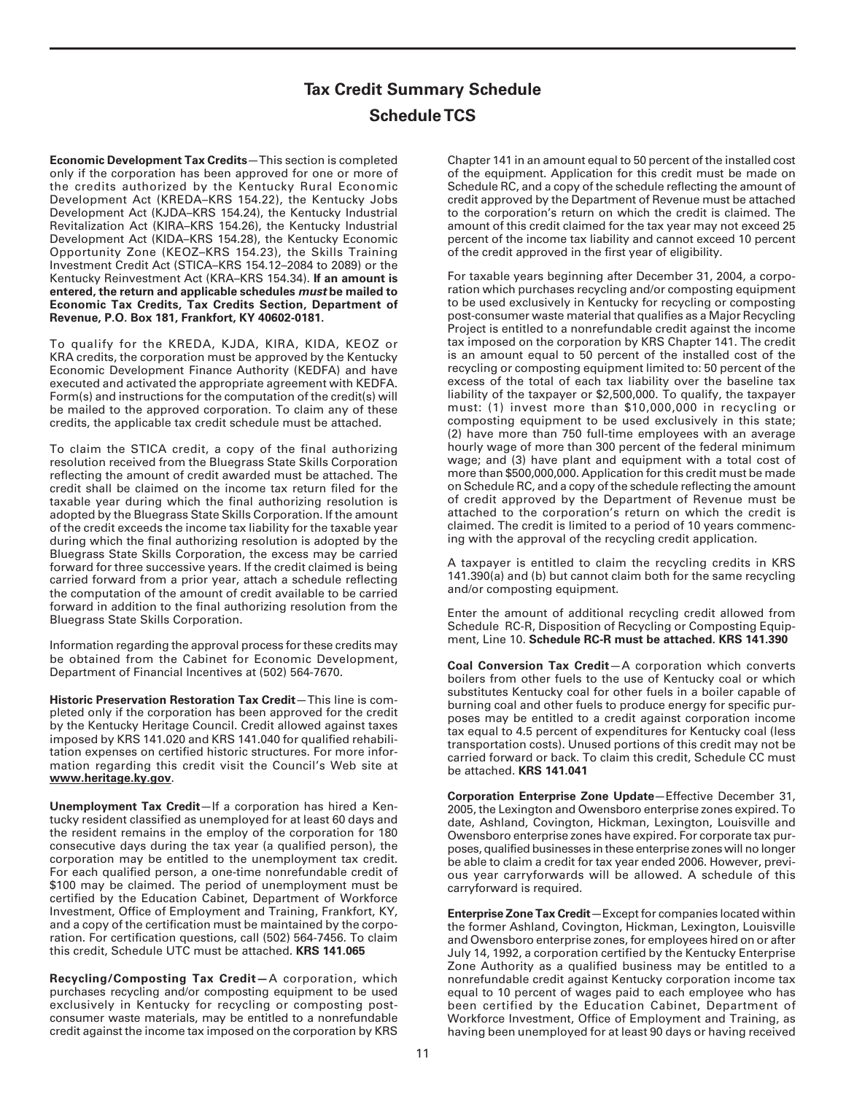## **Tax Credit Summary Schedule Schedule TCS**

**Economic Development Tax Credits**—This section is completed only if the corporation has been approved for one or more of the credits authorized by the Kentucky Rural Economic Development Act (KREDA–KRS 154.22), the Kentucky Jobs Development Act (KJDA–KRS 154.24), the Kentucky Industrial Revitalization Act (KIRA–KRS 154.26), the Kentucky Industrial Development Act (KIDA–KRS 154.28), the Kentucky Economic Opportunity Zone (KEOZ–KRS 154.23), the Skills Training Investment Credit Act (STICA–KRS 154.12–2084 to 2089) or the Kentucky Reinvestment Act (KRA–KRS 154.34). **If an amount is entered, the return and applicable schedules must be mailed to Economic Tax Credits, Tax Credits Section, Department of Revenue, P.O. Box 181, Frankfort, KY 40602-0181.**

To qualify for the KREDA, KJDA, KIRA, KIDA, KEOZ or KRA credits, the corporation must be approved by the Kentucky Economic Development Finance Authority (KEDFA) and have executed and activated the appropriate agreement with KEDFA. Form(s) and instructions for the computation of the credit(s) will be mailed to the approved corporation. To claim any of these credits, the applicable tax credit schedule must be attached.

To claim the STICA credit, a copy of the final authorizing resolution received from the Bluegrass State Skills Corporation reflecting the amount of credit awarded must be attached. The credit shall be claimed on the income tax return filed for the taxable year during which the final authorizing resolution is adopted by the Bluegrass State Skills Corporation. If the amount of the credit exceeds the income tax liability for the taxable year during which the final authorizing resolution is adopted by the Bluegrass State Skills Corporation, the excess may be carried forward for three successive years. If the credit claimed is being carried forward from a prior year, attach a schedule reflecting the computation of the amount of credit available to be carried forward in addition to the final authorizing resolution from the Bluegrass State Skills Corporation.

Information regarding the approval process for these credits may be obtained from the Cabinet for Economic Development, Department of Financial Incentives at (502) 564-7670.

**Historic Preservation Restoration Tax Credit**—This line is completed only if the corporation has been approved for the credit by the Kentucky Heritage Council. Credit allowed against taxes imposed by KRS 141.020 and KRS 141.040 for qualified rehabilitation expenses on certified historic structures. For more information regarding this credit visit the Council's Web site at **www.heritage.ky.gov**.

**Unemployment Tax Credit**—If a corporation has hired a Kentucky resident classified as unemployed for at least 60 days and the resident remains in the employ of the corporation for 180 consecutive days during the tax year (a qualified person), the corporation may be entitled to the unemployment tax credit. For each qualified person, a one-time nonrefundable credit of \$100 may be claimed. The period of unemployment must be certified by the Education Cabinet, Department of Workforce Investment, Office of Employment and Training, Frankfort, KY, and a copy of the certification must be maintained by the corporation. For certification questions, call (502) 564-7456. To claim this credit, Schedule UTC must be attached. **KRS 141.065**

**Recycling/Composting Tax Credit—**A corporation, which purchases recycling and/or composting equipment to be used exclusively in Kentucky for recycling or composting postconsumer waste materials, may be entitled to a nonrefundable credit against the income tax imposed on the corporation by KRS Chapter 141 in an amount equal to 50 percent of the installed cost of the equipment. Application for this credit must be made on Schedule RC, and a copy of the schedule reflecting the amount of credit approved by the Department of Revenue must be attached to the corporation's return on which the credit is claimed. The amount of this credit claimed for the tax year may not exceed 25 percent of the income tax liability and cannot exceed 10 percent of the credit approved in the first year of eligibility.

For taxable years beginning after December 31, 2004, a corporation which purchases recycling and/or composting equipment to be used exclusively in Kentucky for recycling or composting post-consumer waste material that qualifies as a Major Recycling Project is entitled to a nonrefundable credit against the income tax imposed on the corporation by KRS Chapter 141. The credit is an amount equal to 50 percent of the installed cost of the recycling or composting equipment limited to: 50 percent of the excess of the total of each tax liability over the baseline tax liability of the taxpayer or \$2,500,000. To qualify, the taxpayer must: (1) invest more than \$10,000,000 in recycling or composting equipment to be used exclusively in this state; (2) have more than 750 full-time employees with an average hourly wage of more than 300 percent of the federal minimum wage; and (3) have plant and equipment with a total cost of more than \$500,000,000. Application for this credit must be made on Schedule RC, and a copy of the schedule reflecting the amount of credit approved by the Department of Revenue must be attached to the corporation's return on which the credit is claimed. The credit is limited to a period of 10 years commencing with the approval of the recycling credit application.

A taxpayer is entitled to claim the recycling credits in KRS 141.390(a) and (b) but cannot claim both for the same recycling and/or composting equipment.

Enter the amount of additional recycling credit allowed from Schedule RC-R, Disposition of Recycling or Composting Equipment, Line 10. **Schedule RC-R must be attached. KRS 141.390**

**Coal Conversion Tax Credit**—A corporation which converts boilers from other fuels to the use of Kentucky coal or which substitutes Kentucky coal for other fuels in a boiler capable of burning coal and other fuels to produce energy for specific purposes may be entitled to a credit against corporation income tax equal to 4.5 percent of expenditures for Kentucky coal (less transportation costs). Unused portions of this credit may not be carried forward or back. To claim this credit, Schedule CC must be attached. **KRS 141.041**

**Corporation Enterprise Zone Update**—Effective December 31, 2005, the Lexington and Owensboro enterprise zones expired. To date, Ashland, Covington, Hickman, Lexington, Louisville and Owensboro enterprise zones have expired. For corporate tax purposes, qualified businesses in these enterprise zones will no longer be able to claim a credit for tax year ended 2006. However, previous year carryforwards will be allowed. A schedule of this carryforward is required.

**Enterprise Zone Tax Credit**—Except for companies located within the former Ashland, Covington, Hickman, Lexington, Louisville and Owensboro enterprise zones, for employees hired on or after July 14, 1992, a corporation certified by the Kentucky Enterprise Zone Authority as a qualified business may be entitled to a nonrefundable credit against Kentucky corporation income tax equal to 10 percent of wages paid to each employee who has been certified by the Education Cabinet, Department of Workforce Investment, Office of Employment and Training, as having been unemployed for at least 90 days or having received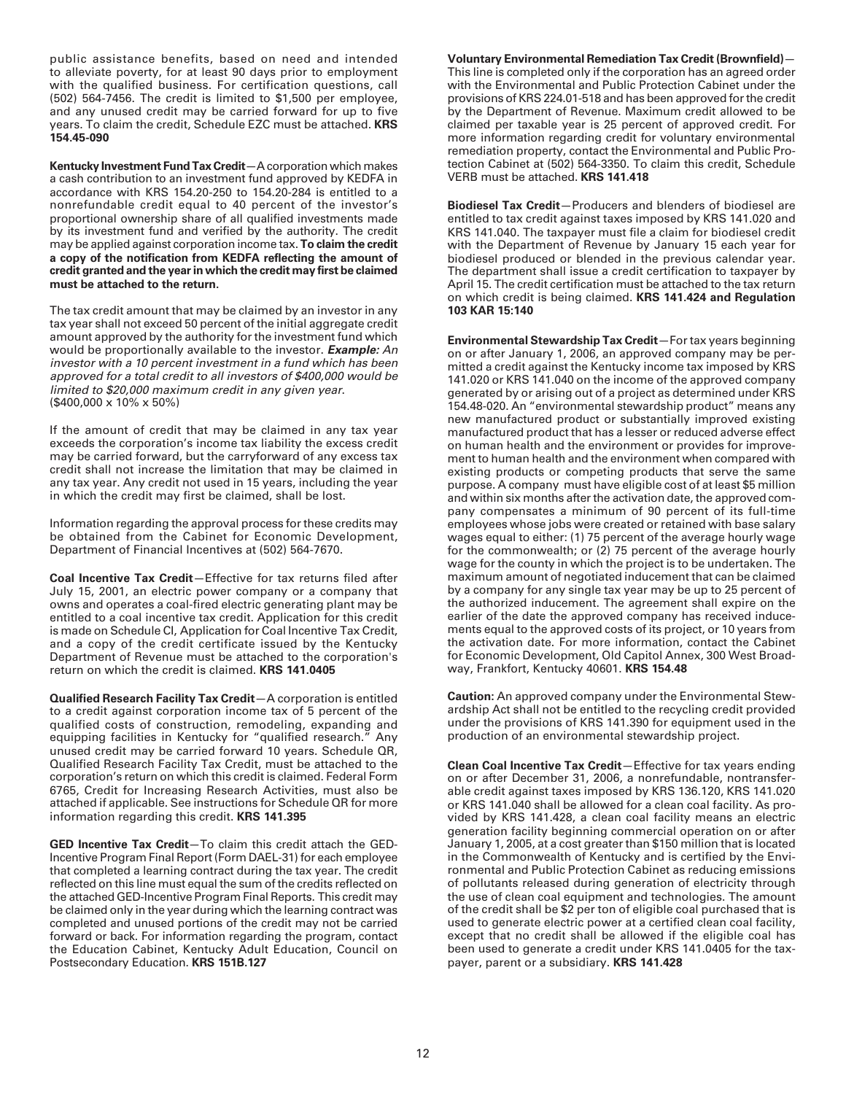public assistance benefits, based on need and intended to alleviate poverty, for at least 90 days prior to employment with the qualified business. For certification questions, call (502) 564-7456. The credit is limited to \$1,500 per employee, and any unused credit may be carried forward for up to five years. To claim the credit, Schedule EZC must be attached. **KRS 154.45-090**

**Kentucky Investment Fund Tax Credit**—A corporation which makes a cash contribution to an investment fund approved by KEDFA in accordance with KRS 154.20-250 to 154.20-284 is entitled to a nonrefundable credit equal to 40 percent of the investor's proportional ownership share of all qualified investments made by its investment fund and verified by the authority. The credit may be applied against corporation income tax. **To claim the credit a copy of the notification from KEDFA reflecting the amount of credit granted and the year in which the credit may first be claimed must be attached to the return.**

The tax credit amount that may be claimed by an investor in any tax year shall not exceed 50 percent of the initial aggregate credit amount approved by the authority for the investment fund which would be proportionally available to the investor. **Example:** An investor with a 10 percent investment in a fund which has been approved for a total credit to all investors of \$400,000 would be limited to \$20,000 maximum credit in any given year. (\$400,000 x 10% x 50%)

If the amount of credit that may be claimed in any tax year exceeds the corporation's income tax liability the excess credit may be carried forward, but the carryforward of any excess tax credit shall not increase the limitation that may be claimed in any tax year. Any credit not used in 15 years, including the year in which the credit may first be claimed, shall be lost.

Information regarding the approval process for these credits may be obtained from the Cabinet for Economic Development, Department of Financial Incentives at (502) 564-7670.

**Coal Incentive Tax Credit**—Effective for tax returns filed after July 15, 2001, an electric power company or a company that owns and operates a coal-fired electric generating plant may be entitled to a coal incentive tax credit. Application for this credit is made on Schedule CI, Application for Coal Incentive Tax Credit, and a copy of the credit certificate issued by the Kentucky Department of Revenue must be attached to the corporation's return on which the credit is claimed. **KRS 141.0405**

**Qualified Research Facility Tax Credit**—A corporation is entitled to a credit against corporation income tax of 5 percent of the qualified costs of construction, remodeling, expanding and equipping facilities in Kentucky for "qualified research." Any unused credit may be carried forward 10 years. Schedule QR, Qualified Research Facility Tax Credit, must be attached to the corporation's return on which this credit is claimed. Federal Form 6765, Credit for Increasing Research Activities, must also be attached if applicable. See instructions for Schedule QR for more information regarding this credit. **KRS 141.395**

**GED Incentive Tax Credit**—To claim this credit attach the GED-Incentive Program Final Report (Form DAEL-31) for each employee that completed a learning contract during the tax year. The credit reflected on this line must equal the sum of the credits reflected on the attached GED-Incentive Program Final Reports. This credit may be claimed only in the year during which the learning contract was completed and unused portions of the credit may not be carried forward or back. For information regarding the program, contact the Education Cabinet, Kentucky Adult Education, Council on Postsecondary Education. **KRS 151B.127**

**Voluntary Environmental Remediation Tax Credit (Brownfield)**— This line is completed only if the corporation has an agreed order with the Environmental and Public Protection Cabinet under the provisions of KRS 224.01-518 and has been approved for the credit by the Department of Revenue. Maximum credit allowed to be claimed per taxable year is 25 percent of approved credit. For more information regarding credit for voluntary environmental remediation property, contact the Environmental and Public Protection Cabinet at (502) 564-3350. To claim this credit, Schedule VERB must be attached. **KRS 141.418**

**Biodiesel Tax Credit**—Producers and blenders of biodiesel are entitled to tax credit against taxes imposed by KRS 141.020 and KRS 141.040. The taxpayer must file a claim for biodiesel credit with the Department of Revenue by January 15 each year for biodiesel produced or blended in the previous calendar year. The department shall issue a credit certification to taxpayer by April 15. The credit certification must be attached to the tax return on which credit is being claimed. **KRS 141.424 and Regulation 103 KAR 15:140**

**Environmental Stewardship Tax Credit**—For tax years beginning on or after January 1, 2006, an approved company may be permitted a credit against the Kentucky income tax imposed by KRS 141.020 or KRS 141.040 on the income of the approved company generated by or arising out of a project as determined under KRS 154.48-020. An "environmental stewardship product" means any new manufactured product or substantially improved existing manufactured product that has a lesser or reduced adverse effect on human health and the environment or provides for improvement to human health and the environment when compared with existing products or competing products that serve the same purpose. A company must have eligible cost of at least \$5 million and within six months after the activation date, the approved company compensates a minimum of 90 percent of its full-time employees whose jobs were created or retained with base salary wages equal to either: (1) 75 percent of the average hourly wage for the commonwealth; or (2) 75 percent of the average hourly wage for the county in which the project is to be undertaken. The maximum amount of negotiated inducement that can be claimed by a company for any single tax year may be up to 25 percent of the authorized inducement. The agreement shall expire on the earlier of the date the approved company has received inducements equal to the approved costs of its project, or 10 years from the activation date. For more information, contact the Cabinet for Economic Development, Old Capitol Annex, 300 West Broadway, Frankfort, Kentucky 40601. **KRS 154.48**

**Caution:** An approved company under the Environmental Stewardship Act shall not be entitled to the recycling credit provided under the provisions of KRS 141.390 for equipment used in the production of an environmental stewardship project.

**Clean Coal Incentive Tax Credit**—Effective for tax years ending on or after December 31, 2006, a nonrefundable, nontransferable credit against taxes imposed by KRS 136.120, KRS 141.020 or KRS 141.040 shall be allowed for a clean coal facility. As provided by KRS 141.428, a clean coal facility means an electric generation facility beginning commercial operation on or after January 1, 2005, at a cost greater than \$150 million that is located in the Commonwealth of Kentucky and is certified by the Environmental and Public Protection Cabinet as reducing emissions of pollutants released during generation of electricity through the use of clean coal equipment and technologies. The amount of the credit shall be \$2 per ton of eligible coal purchased that is used to generate electric power at a certified clean coal facility, except that no credit shall be allowed if the eligible coal has been used to generate a credit under KRS 141.0405 for the taxpayer, parent or a subsidiary. **KRS 141.428**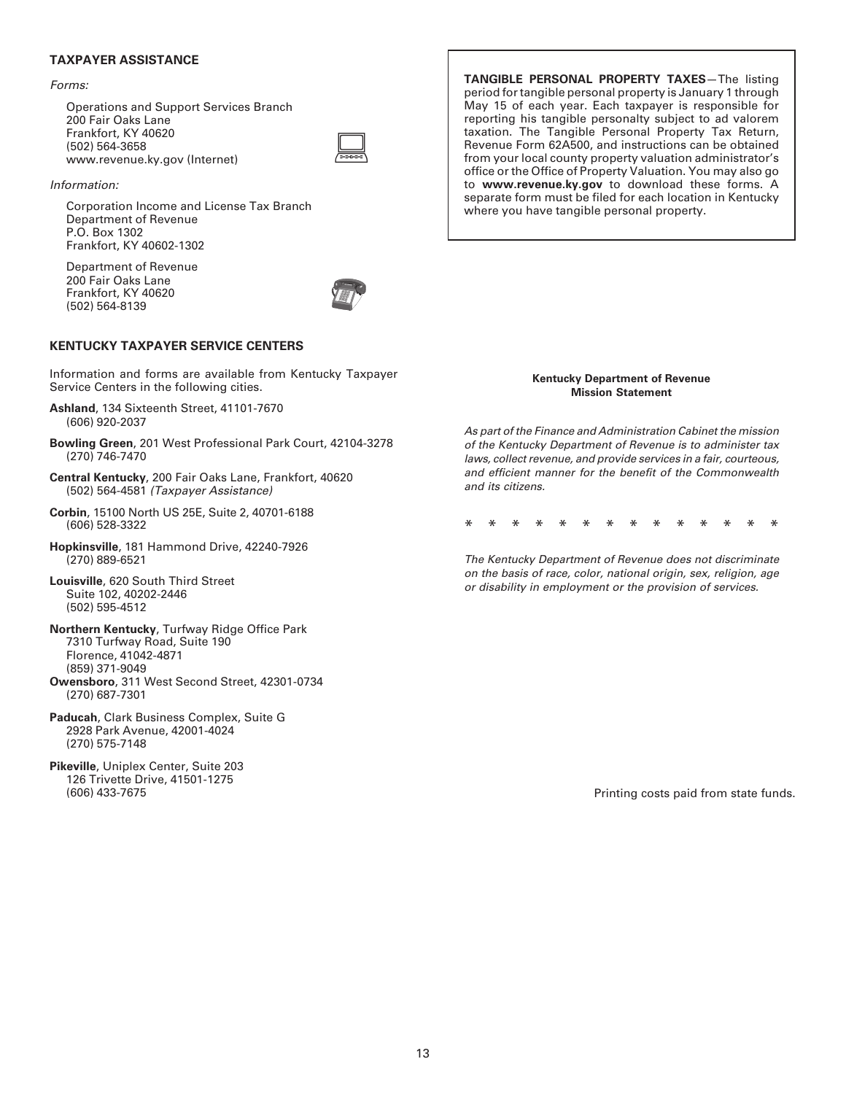## **TAXPAYER ASSISTANCE**

#### Forms:

Operations and Support Services Branch 200 Fair Oaks Lane Frankfort, KY 40620 (502) 564-3658 www.revenue.ky.gov (Internet)



#### Information:

Corporation Income and License Tax Branch Department of Revenue P.O. Box 1302 Frankfort, KY 40602-1302

Department of Revenue 200 Fair Oaks Lane Frankfort, KY 40620 (502) 564-8139



## **KENTUCKY TAXPAYER SERVICE CENTERS**

Information and forms are available from Kentucky Taxpayer Service Centers in the following cities.

- **Ashland**, 134 Sixteenth Street, 41101-7670 (606) 920-2037
- **Bowling Green**, 201 West Professional Park Court, 42104-3278 (270) 746-7470
- **Central Kentucky**, 200 Fair Oaks Lane, Frankfort, 40620 (502) 564-4581 (Taxpayer Assistance)
- **Corbin**, 15100 North US 25E, Suite 2, 40701-6188 (606) 528-3322
- **Hopkinsville**, 181 Hammond Drive, 42240-7926 (270) 889-6521
- **Louisville**, 620 South Third Street Suite 102, 40202-2446 (502) 595-4512
- **Northern Kentucky**, Turfway Ridge Office Park 7310 Turfway Road, Suite 190 Florence, 41042-4871 (859) 371-9049 **Owensboro**, 311 West Second Street, 42301-0734
- (270) 687-7301
- **Paducah**, Clark Business Complex, Suite G 2928 Park Avenue, 42001-4024 (270) 575-7148
- **Pikeville**, Uniplex Center, Suite 203 126 Trivette Drive, 41501-1275

**TANGIBLE PERSONAL PROPERTY TAXES**—The listing period for tangible personal property is January 1 through May 15 of each year. Each taxpayer is responsible for reporting his tangible personalty subject to ad valorem taxation. The Tangible Personal Property Tax Return, Revenue Form 62A500, and instructions can be obtained from your local county property valuation administrator's office or the Office of Property Valuation. You may also go to **www.revenue.ky.gov** to download these forms. A separate form must be filed for each location in Kentucky where you have tangible personal property.

#### **Kentucky Department of Revenue Mission Statement**

As part of the Finance and Administration Cabinet the mission of the Kentucky Department of Revenue is to administer tax laws, collect revenue, and provide services in a fair, courteous, and efficient manner for the benefit of the Commonwealth and its citizens.

\*\*\*\*\*\*\*\*\*\*\*\*\*\*

The Kentucky Department of Revenue does not discriminate on the basis of race, color, national origin, sex, religion, age or disability in employment or the provision of services.

Printing costs paid from state funds.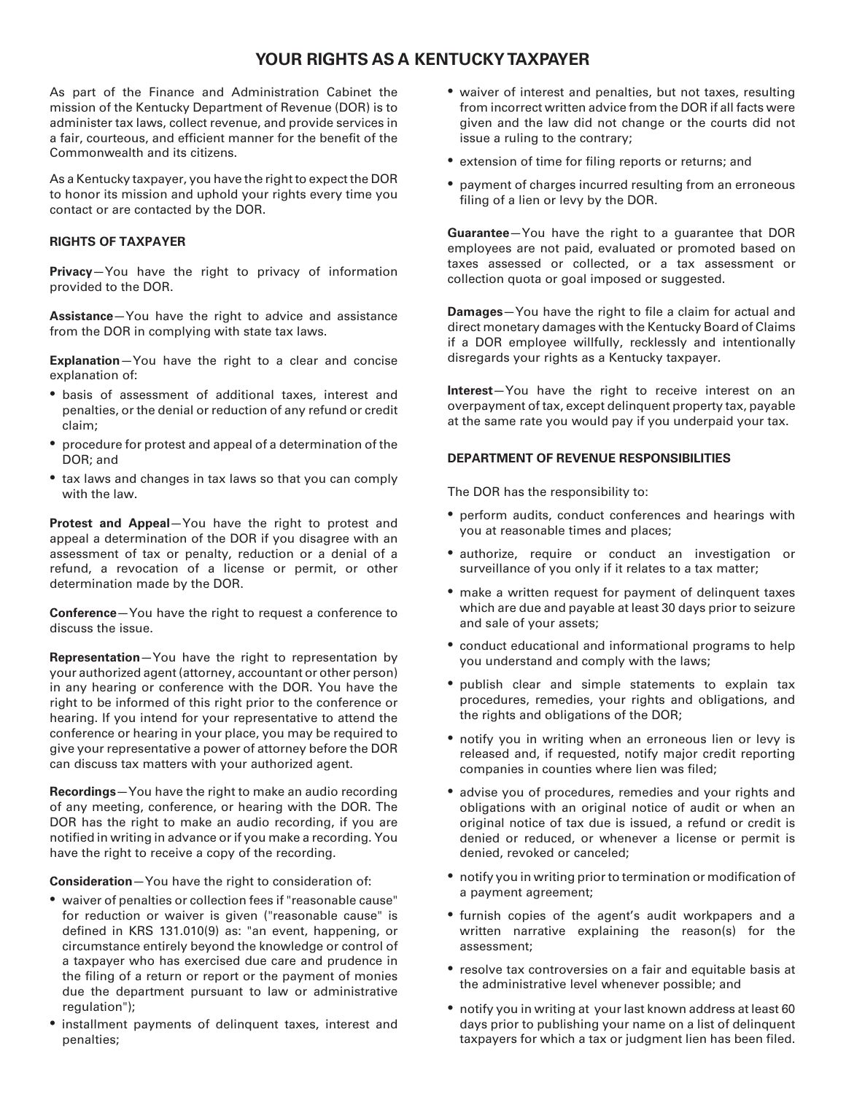## **YOUR RIGHTS AS A KENTUCKY TAXPAYER**

As part of the Finance and Administration Cabinet the mission of the Kentucky Department of Revenue (DOR) is to administer tax laws, collect revenue, and provide services in a fair, courteous, and efficient manner for the benefit of the Commonwealth and its citizens.

As a Kentucky taxpayer, you have the right to expect the DOR to honor its mission and uphold your rights every time you contact or are contacted by the DOR.

## **RIGHTS OF TAXPAYER**

**Privacy**—You have the right to privacy of information provided to the DOR.

**Assistance**—You have the right to advice and assistance from the DOR in complying with state tax laws.

**Explanation**—You have the right to a clear and concise explanation of:

- basis of assessment of additional taxes, interest and penalties, or the denial or reduction of any refund or credit claim;
- procedure for protest and appeal of a determination of the DOR; and
- tax laws and changes in tax laws so that you can comply with the law.

**Protest and Appeal**—You have the right to protest and appeal a determination of the DOR if you disagree with an assessment of tax or penalty, reduction or a denial of a refund, a revocation of a license or permit, or other determination made by the DOR.

**Conference**—You have the right to request a conference to discuss the issue.

**Representation**—You have the right to representation by your authorized agent (attorney, accountant or other person) in any hearing or conference with the DOR. You have the right to be informed of this right prior to the conference or hearing. If you intend for your representative to attend the conference or hearing in your place, you may be required to give your representative a power of attorney before the DOR can discuss tax matters with your authorized agent.

**Recordings**—You have the right to make an audio recording of any meeting, conference, or hearing with the DOR. The DOR has the right to make an audio recording, if you are notified in writing in advance or if you make a recording. You have the right to receive a copy of the recording.

**Consideration**—You have the right to consideration of:

- waiver of penalties or collection fees if "reasonable cause" for reduction or waiver is given ("reasonable cause" is defined in KRS 131.010(9) as: "an event, happening, or circumstance entirely beyond the knowledge or control of a taxpayer who has exercised due care and prudence in the filing of a return or report or the payment of monies due the department pursuant to law or administrative regulation");
- installment payments of delinquent taxes, interest and penalties;
- waiver of interest and penalties, but not taxes, resulting from incorrect written advice from the DOR if all facts were given and the law did not change or the courts did not issue a ruling to the contrary;
- extension of time for filing reports or returns; and
- payment of charges incurred resulting from an erroneous filing of a lien or levy by the DOR.

**Guarantee**—You have the right to a guarantee that DOR employees are not paid, evaluated or promoted based on taxes assessed or collected, or a tax assessment or collection quota or goal imposed or suggested.

**Damages**—You have the right to file a claim for actual and direct monetary damages with the Kentucky Board of Claims if a DOR employee willfully, recklessly and intentionally disregards your rights as a Kentucky taxpayer.

**Interest**—You have the right to receive interest on an overpayment of tax, except delinquent property tax, payable at the same rate you would pay if you underpaid your tax.

## **DEPARTMENT OF REVENUE RESPONSIBILITIES**

The DOR has the responsibility to:

- perform audits, conduct conferences and hearings with you at reasonable times and places;
- authorize, require or conduct an investigation or surveillance of you only if it relates to a tax matter;
- make a written request for payment of delinquent taxes which are due and payable at least 30 days prior to seizure and sale of your assets;
- conduct educational and informational programs to help you understand and comply with the laws;
- publish clear and simple statements to explain tax procedures, remedies, your rights and obligations, and the rights and obligations of the DOR;
- notify you in writing when an erroneous lien or levy is released and, if requested, notify major credit reporting companies in counties where lien was filed;
- advise you of procedures, remedies and your rights and obligations with an original notice of audit or when an original notice of tax due is issued, a refund or credit is denied or reduced, or whenever a license or permit is denied, revoked or canceled;
- notify you in writing prior to termination or modification of a payment agreement;
- furnish copies of the agent's audit workpapers and a written narrative explaining the reason(s) for the assessment;
- resolve tax controversies on a fair and equitable basis at the administrative level whenever possible; and
- notify you in writing at your last known address at least 60 days prior to publishing your name on a list of delinquent taxpayers for which a tax or judgment lien has been filed.